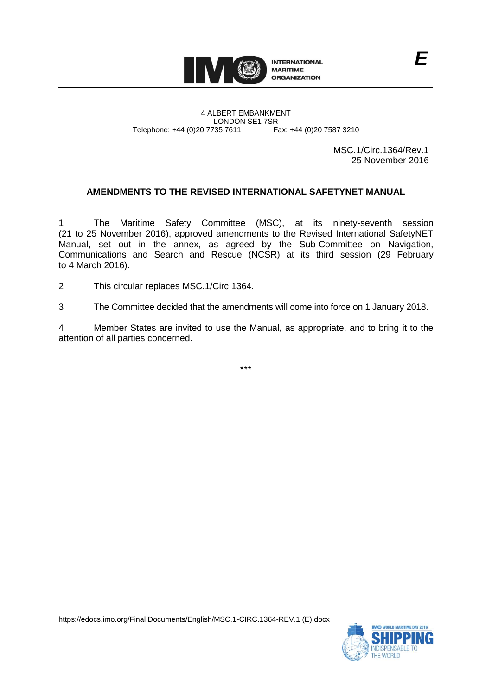

4 ALBERT EMBANKMENT LONDON SE1 7SR Telephone: +44 (0)20 7735 7611 Fax: +44 (0)20 7587 3210

MSC.1/Circ.1364/Rev.1 25 November 2016

# **AMENDMENTS TO THE REVISED INTERNATIONAL SAFETYNET MANUAL**

1 The Maritime Safety Committee (MSC), at its ninety-seventh session (21 to 25 November 2016), approved amendments to the Revised International SafetyNET Manual, set out in the annex, as agreed by the Sub-Committee on Navigation, Communications and Search and Rescue (NCSR) at its third session (29 February to 4 March 2016).

2 This circular replaces MSC.1/Circ.1364.

3 The Committee decided that the amendments will come into force on 1 January 2018.

4 Member States are invited to use the Manual, as appropriate, and to bring it to the attention of all parties concerned.

\*\*\*

https://edocs.imo.org/Final Documents/English/MSC.1-CIRC.1364-REV.1 (E).docx

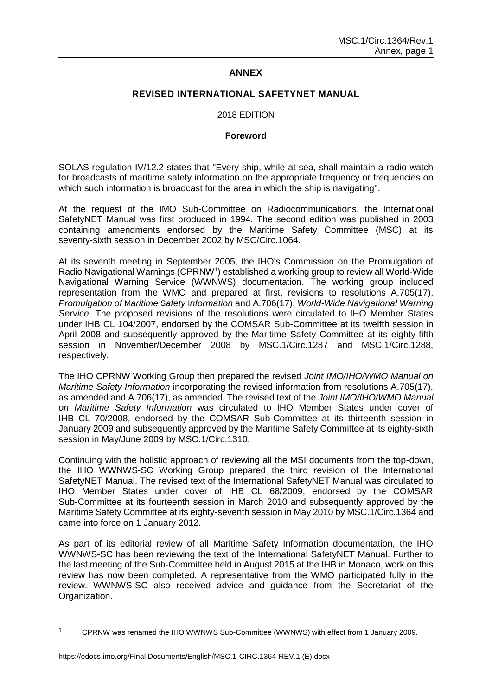# **ANNEX**

#### **REVISED INTERNATIONAL SAFETYNET MANUAL**

#### 2018 EDITION

#### **Foreword**

SOLAS regulation IV/12.2 states that "Every ship, while at sea, shall maintain a radio watch for broadcasts of maritime safety information on the appropriate frequency or frequencies on which such information is broadcast for the area in which the ship is navigating".

At the request of the IMO Sub-Committee on Radiocommunications, the International SafetyNET Manual was first produced in 1994. The second edition was published in 2003 containing amendments endorsed by the Maritime Safety Committee (MSC) at its seventy-sixth session in December 2002 by MSC/Circ.1064.

At its seventh meeting in September 2005, the IHO's Commission on the Promulgation of Radio Navigational Warnings (CPRNW<sup>1</sup>) established a working group to review all World-Wide Navigational Warning Service (WWNWS) documentation. The working group included representation from the WMO and prepared at first, revisions to resolutions A.705(17), *Promulgation of* M*aritime* S*afety* I*nformation* and A.706(17), *World-Wide Navigational Warning Service*. The proposed revisions of the resolutions were circulated to IHO Member States under IHB CL 104/2007, endorsed by the COMSAR Sub-Committee at its twelfth session in April 2008 and subsequently approved by the Maritime Safety Committee at its eighty-fifth session in November/December 2008 by MSC.1/Circ.1287 and MSC.1/Circ.1288, respectively.

The IHO CPRNW Working Group then prepared the revised *Joint IMO/IHO/WMO Manual on Maritime Safety Information* incorporating the revised information from resolutions A.705(17), as amended and A.706(17), as amended. The revised text of the *Joint IMO/IHO/WMO Manual on Maritime Safety Information* was circulated to IHO Member States under cover of IHB CL 70/2008, endorsed by the COMSAR Sub-Committee at its thirteenth session in January 2009 and subsequently approved by the Maritime Safety Committee at its eighty-sixth session in May/June 2009 by MSC.1/Circ.1310.

Continuing with the holistic approach of reviewing all the MSI documents from the top-down, the IHO WWNWS-SC Working Group prepared the third revision of the International SafetyNET Manual. The revised text of the International SafetyNET Manual was circulated to IHO Member States under cover of IHB CL 68/2009, endorsed by the COMSAR Sub-Committee at its fourteenth session in March 2010 and subsequently approved by the Maritime Safety Committee at its eighty-seventh session in May 2010 by MSC.1/Circ.1364 and came into force on 1 January 2012.

As part of its editorial review of all Maritime Safety Information documentation, the IHO WWNWS-SC has been reviewing the text of the International SafetyNET Manual. Further to the last meeting of the Sub-Committee held in August 2015 at the IHB in Monaco, work on this review has now been completed. A representative from the WMO participated fully in the review. WWNWS-SC also received advice and guidance from the Secretariat of the Organization.

 $\overline{a}$ 

<sup>1</sup> CPRNW was renamed the IHO WWNWS Sub-Committee (WWNWS) with effect from 1 January 2009.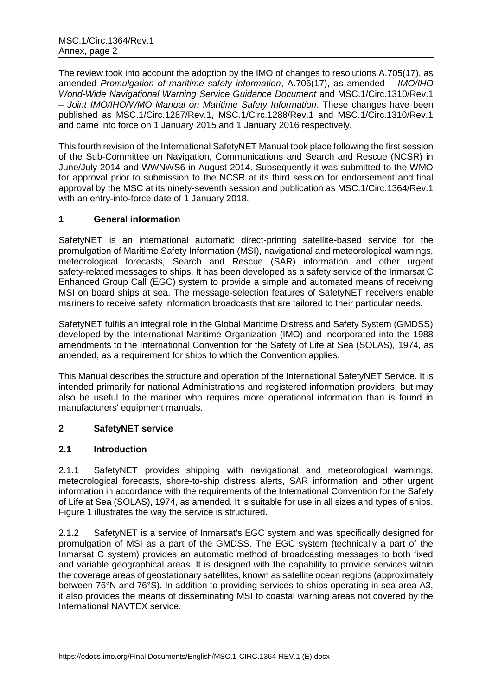The review took into account the adoption by the IMO of changes to resolutions A.705(17), as amended *Promulgation of maritime safety information*, A.706(17), as amended – *IMO/IHO World-Wide Navigational Warning Service Guidance Document* and MSC.1/Circ.1310/Rev.1 – *Joint IMO/IHO/WMO Manual on Maritime Safety Information*. These changes have been published as MSC.1/Circ.1287/Rev.1, MSC.1/Circ.1288/Rev.1 and MSC.1/Circ.1310/Rev.1 and came into force on 1 January 2015 and 1 January 2016 respectively.

This fourth revision of the International SafetyNET Manual took place following the first session of the Sub-Committee on Navigation, Communications and Search and Rescue (NCSR) in June/July 2014 and WWNWS6 in August 2014. Subsequently it was submitted to the WMO for approval prior to submission to the NCSR at its third session for endorsement and final approval by the MSC at its ninety-seventh session and publication as MSC.1/Circ.1364/Rev.1 with an entry-into-force date of 1 January 2018.

# **1 General information**

SafetyNET is an international automatic direct-printing satellite-based service for the promulgation of Maritime Safety Information (MSI), navigational and meteorological warnings, meteorological forecasts, Search and Rescue (SAR) information and other urgent safety-related messages to ships. It has been developed as a safety service of the Inmarsat C Enhanced Group Call (EGC) system to provide a simple and automated means of receiving MSI on board ships at sea. The message-selection features of SafetyNET receivers enable mariners to receive safety information broadcasts that are tailored to their particular needs.

SafetyNET fulfils an integral role in the Global Maritime Distress and Safety System (GMDSS) developed by the International Maritime Organization (IMO) and incorporated into the 1988 amendments to the International Convention for the Safety of Life at Sea (SOLAS), 1974, as amended, as a requirement for ships to which the Convention applies.

This Manual describes the structure and operation of the International SafetyNET Service. It is intended primarily for national Administrations and registered information providers, but may also be useful to the mariner who requires more operational information than is found in manufacturers' equipment manuals.

# **2 SafetyNET service**

# **2.1 Introduction**

2.1.1 SafetyNET provides shipping with navigational and meteorological warnings, meteorological forecasts, shore-to-ship distress alerts, SAR information and other urgent information in accordance with the requirements of the International Convention for the Safety of Life at Sea (SOLAS), 1974, as amended. It is suitable for use in all sizes and types of ships. Figure 1 illustrates the way the service is structured.

2.1.2 SafetyNET is a service of Inmarsat's EGC system and was specifically designed for promulgation of MSI as a part of the GMDSS. The EGC system (technically a part of the Inmarsat C system) provides an automatic method of broadcasting messages to both fixed and variable geographical areas. It is designed with the capability to provide services within the coverage areas of geostationary satellites, known as satellite ocean regions (approximately between 76°N and 76°S). In addition to providing services to ships operating in sea area A3, it also provides the means of disseminating MSI to coastal warning areas not covered by the International NAVTEX service.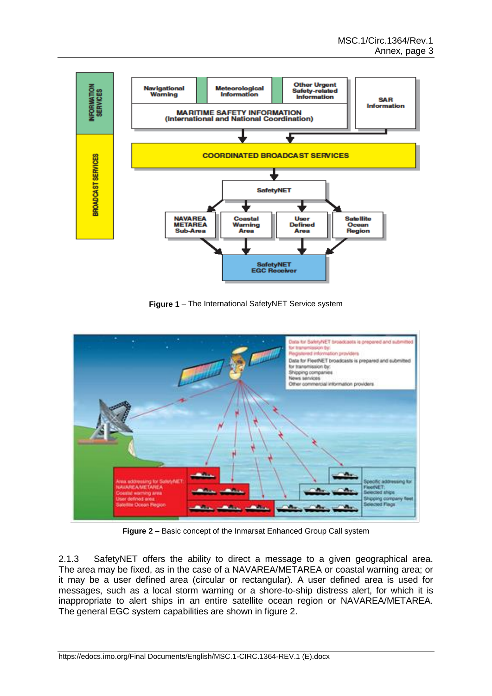

**Figure 1** – The International SafetyNET Service system



**Figure 2** – Basic concept of the Inmarsat Enhanced Group Call system

2.1.3 SafetyNET offers the ability to direct a message to a given geographical area. The area may be fixed, as in the case of a NAVAREA/METAREA or coastal warning area; or it may be a user defined area (circular or rectangular). A user defined area is used for messages, such as a local storm warning or a shore-to-ship distress alert, for which it is inappropriate to alert ships in an entire satellite ocean region or NAVAREA/METAREA. The general EGC system capabilities are shown in figure 2.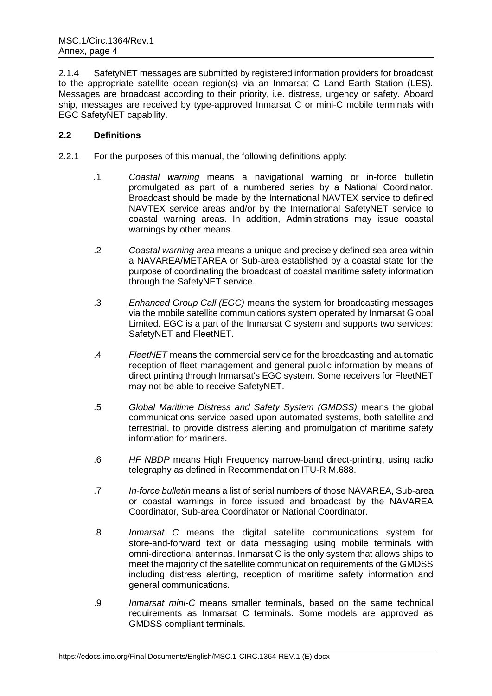2.1.4 SafetyNET messages are submitted by registered information providers for broadcast to the appropriate satellite ocean region(s) via an Inmarsat C Land Earth Station (LES). Messages are broadcast according to their priority, i.e. distress, urgency or safety. Aboard ship, messages are received by type-approved Inmarsat C or mini-C mobile terminals with EGC SafetyNET capability.

# **2.2 Definitions**

- 2.2.1 For the purposes of this manual, the following definitions apply:
	- *.*1 *Coastal warning* means a navigational warning or in-force bulletin promulgated as part of a numbered series by a National Coordinator. Broadcast should be made by the International NAVTEX service to defined NAVTEX service areas and/or by the International SafetyNET service to coastal warning areas. In addition, Administrations may issue coastal warnings by other means.
	- .2 *Coastal warning area* means a unique and precisely defined sea area within a NAVAREA/METAREA or Sub-area established by a coastal state for the purpose of coordinating the broadcast of coastal maritime safety information through the SafetyNET service.
	- .3 *Enhanced Group Call (EGC)* means the system for broadcasting messages via the mobile satellite communications system operated by Inmarsat Global Limited. EGC is a part of the Inmarsat C system and supports two services: SafetyNET and FleetNET.
	- .4 *FleetNET* means the commercial service for the broadcasting and automatic reception of fleet management and general public information by means of direct printing through Inmarsat's EGC system. Some receivers for FleetNET may not be able to receive SafetyNET.
	- .5 *Global Maritime Distress and Safety System (GMDSS)* means the global communications service based upon automated systems, both satellite and terrestrial, to provide distress alerting and promulgation of maritime safety information for mariners.
	- .6 *HF NBDP* means High Frequency narrow-band direct-printing, using radio telegraphy as defined in Recommendation ITU-R M.688.
	- .7 *In-force bulletin* means a list of serial numbers of those NAVAREA, Sub-area or coastal warnings in force issued and broadcast by the NAVAREA Coordinator, Sub-area Coordinator or National Coordinator.
	- .8 *Inmarsat C* means the digital satellite communications system for store-and-forward text or data messaging using mobile terminals with omni-directional antennas. Inmarsat C is the only system that allows ships to meet the majority of the satellite communication requirements of the GMDSS including distress alerting, reception of maritime safety information and general communications.
	- .9 *Inmarsat mini-C* means smaller terminals, based on the same technical requirements as Inmarsat C terminals. Some models are approved as GMDSS compliant terminals.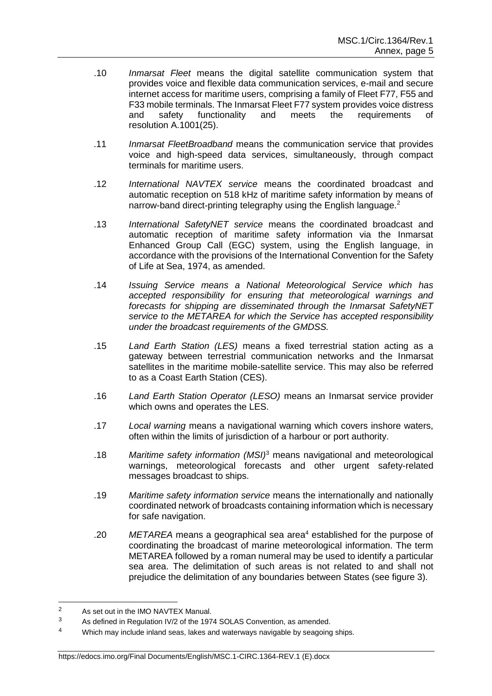- .10 *Inmarsat Fleet* means the digital satellite communication system that provides voice and flexible data communication services, e-mail and secure internet access for maritime users, comprising a family of Fleet F77, F55 and F33 mobile terminals. The Inmarsat Fleet F77 system provides voice distress and safety functionality and meets the requirements of resolution A.1001(25).
- .11 *Inmarsat FleetBroadband* means the communication service that provides voice and high-speed data services, simultaneously, through compact terminals for maritime users.
- .12 *International NAVTEX service* means the coordinated broadcast and automatic reception on 518 kHz of maritime safety information by means of narrow-band direct-printing telegraphy using the English language.<sup>2</sup>
- .13 *International SafetyNET service* means the coordinated broadcast and automatic reception of maritime safety information via the Inmarsat Enhanced Group Call (EGC) system, using the English language, in accordance with the provisions of the International Convention for the Safety of Life at Sea, 1974, as amended.
- .14 *Issuing Service means a National Meteorological Service which has accepted responsibility for ensuring that meteorological warnings and forecasts for shipping are disseminated through the Inmarsat SafetyNET service to the METAREA for which the Service has accepted responsibility under the broadcast requirements of the GMDSS.*
- .15 *Land Earth Station (LES)* means a fixed terrestrial station acting as a gateway between terrestrial communication networks and the Inmarsat satellites in the maritime mobile-satellite service. This may also be referred to as a Coast Earth Station (CES).
- .16 *Land Earth Station Operator (LESO)* means an Inmarsat service provider which owns and operates the LES.
- .17 *Local warning* means a navigational warning which covers inshore waters, often within the limits of jurisdiction of a harbour or port authority.
- .18 *Maritime safety information (MSI)*<sup>3</sup> means navigational and meteorological warnings, meteorological forecasts and other urgent safety-related messages broadcast to ships.
- .19 *Maritime safety information service* means the internationally and nationally coordinated network of broadcasts containing information which is necessary for safe navigation.
- .20 *METAREA* means a geographical sea area<sup>4</sup> established for the purpose of coordinating the broadcast of marine meteorological information. The term METAREA followed by a roman numeral may be used to identify a particular sea area. The delimitation of such areas is not related to and shall not prejudice the delimitation of any boundaries between States (see figure 3).

#### https://edocs.imo.org/Final Documents/English/MSC.1-CIRC.1364-REV.1 (E).docx

<sup>2</sup> As set out in the IMO NAVTEX Manual.

<sup>&</sup>lt;sup>3</sup> As defined in Regulation IV/2 of the 1974 SOLAS Convention, as amended.

<sup>4</sup> Which may include inland seas, lakes and waterways navigable by seagoing ships.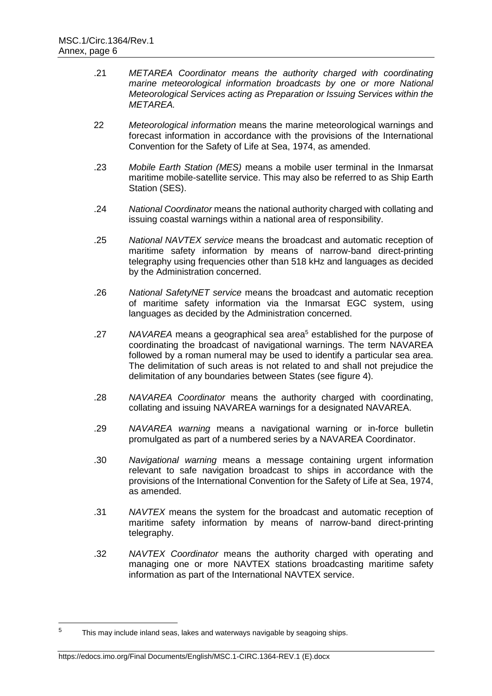- .21 *METAREA Coordinator means the authority charged with coordinating marine meteorological information broadcasts by one or more National Meteorological Services acting as Preparation or Issuing Services within the METAREA.*
- 22 *Meteorological information* means the marine meteorological warnings and forecast information in accordance with the provisions of the International Convention for the Safety of Life at Sea, 1974, as amended.
- .23 *Mobile Earth Station (MES)* means a mobile user terminal in the Inmarsat maritime mobile-satellite service. This may also be referred to as Ship Earth Station (SES).
- .24 *National Coordinator* means the national authority charged with collating and issuing coastal warnings within a national area of responsibility.
- .25 *National NAVTEX service* means the broadcast and automatic reception of maritime safety information by means of narrow-band direct-printing telegraphy using frequencies other than 518 kHz and languages as decided by the Administration concerned.
- .26 *National SafetyNET service* means the broadcast and automatic reception of maritime safety information via the Inmarsat EGC system, using languages as decided by the Administration concerned.
- .27 *NAVAREA* means a geographical sea area<sup>5</sup> established for the purpose of coordinating the broadcast of navigational warnings. The term NAVAREA followed by a roman numeral may be used to identify a particular sea area. The delimitation of such areas is not related to and shall not prejudice the delimitation of any boundaries between States (see figure 4).
- .28 *NAVAREA Coordinator* means the authority charged with coordinating, collating and issuing NAVAREA warnings for a designated NAVAREA.
- .29 *NAVAREA warning* means a navigational warning or in-force bulletin promulgated as part of a numbered series by a NAVAREA Coordinator.
- .30 *Navigational warning* means a message containing urgent information relevant to safe navigation broadcast to ships in accordance with the provisions of the International Convention for the Safety of Life at Sea, 1974, as amended.
- .31 *NAVTEX* means the system for the broadcast and automatic reception of maritime safety information by means of narrow-band direct-printing telegraphy.
- .32 *NAVTEX Coordinator* means the authority charged with operating and managing one or more NAVTEX stations broadcasting maritime safety information as part of the International NAVTEX service.

#### https://edocs.imo.org/Final Documents/English/MSC.1-CIRC.1364-REV.1 (E).docx

 $\overline{5}$ This may include inland seas, lakes and waterways navigable by seagoing ships.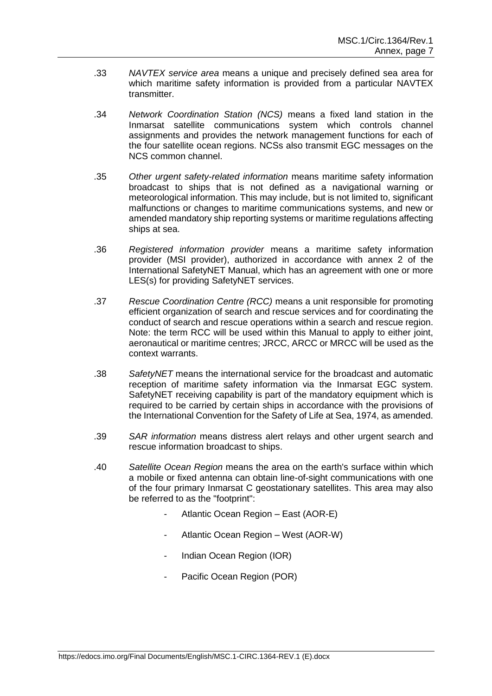- .33 *NAVTEX service area* means a unique and precisely defined sea area for which maritime safety information is provided from a particular NAVTEX transmitter.
- .34 *Network Coordination Station (NCS)* means a fixed land station in the Inmarsat satellite communications system which controls channel assignments and provides the network management functions for each of the four satellite ocean regions. NCSs also transmit EGC messages on the NCS common channel.
- .35 *Other urgent safety-related information* means maritime safety information broadcast to ships that is not defined as a navigational warning or meteorological information. This may include, but is not limited to, significant malfunctions or changes to maritime communications systems, and new or amended mandatory ship reporting systems or maritime regulations affecting ships at sea.
- .36 *Registered information provider* means a maritime safety information provider (MSI provider), authorized in accordance with annex 2 of the International SafetyNET Manual, which has an agreement with one or more LES(s) for providing SafetyNET services.
- .37 *Rescue Coordination Centre (RCC)* means a unit responsible for promoting efficient organization of search and rescue services and for coordinating the conduct of search and rescue operations within a search and rescue region. Note: the term RCC will be used within this Manual to apply to either joint, aeronautical or maritime centres; JRCC, ARCC or MRCC will be used as the context warrants.
- .38 *SafetyNET* means the international service for the broadcast and automatic reception of maritime safety information via the Inmarsat EGC system. SafetyNET receiving capability is part of the mandatory equipment which is required to be carried by certain ships in accordance with the provisions of the International Convention for the Safety of Life at Sea, 1974, as amended.
- .39 *SAR information* means distress alert relays and other urgent search and rescue information broadcast to ships.
- .40 *Satellite Ocean Region* means the area on the earth's surface within which a mobile or fixed antenna can obtain line-of-sight communications with one of the four primary Inmarsat C geostationary satellites. This area may also be referred to as the "footprint":
	- Atlantic Ocean Region East (AOR-E)
	- Atlantic Ocean Region West (AOR-W)
	- Indian Ocean Region (IOR)
	- Pacific Ocean Region (POR)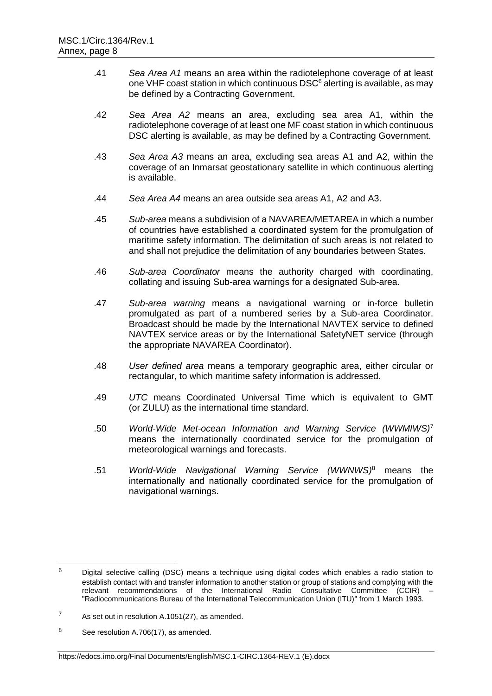- .41 *Sea Area A1* means an area within the radiotelephone coverage of at least one VHF coast station in which continuous DSC<sup>6</sup> alerting is available, as may be defined by a Contracting Government.
- .42 *Sea Area A2* means an area, excluding sea area A1, within the radiotelephone coverage of at least one MF coast station in which continuous DSC alerting is available, as may be defined by a Contracting Government.
- .43 *Sea Area A3* means an area, excluding sea areas A1 and A2, within the coverage of an Inmarsat geostationary satellite in which continuous alerting is available.
- .44 *Sea Area A4* means an area outside sea areas A1, A2 and A3.
- .45 *Sub-area* means a subdivision of a NAVAREA/METAREA in which a number of countries have established a coordinated system for the promulgation of maritime safety information. The delimitation of such areas is not related to and shall not prejudice the delimitation of any boundaries between States.
- .46 *Sub-area Coordinator* means the authority charged with coordinating, collating and issuing Sub-area warnings for a designated Sub-area.
- .47 *Sub-area warning* means a navigational warning or in-force bulletin promulgated as part of a numbered series by a Sub-area Coordinator. Broadcast should be made by the International NAVTEX service to defined NAVTEX service areas or by the International SafetyNET service (through the appropriate NAVAREA Coordinator).
- .48 *User defined area* means a temporary geographic area, either circular or rectangular, to which maritime safety information is addressed.
- .49 *UTC* means Coordinated Universal Time which is equivalent to GMT (or ZULU) as the international time standard.
- .50 *World-Wide Met-ocean Information and Warning Service (WWMIWS)*<sup>7</sup> means the internationally coordinated service for the promulgation of meteorological warnings and forecasts.
- .51 *World-Wide Navigational Warning Service (WWNWS)*<sup>8</sup> means the internationally and nationally coordinated service for the promulgation of navigational warnings.

 <sup>6</sup> Digital selective calling (DSC) means a technique using digital codes which enables a radio station to establish contact with and transfer information to another station or group of stations and complying with the relevant recommendations of the International Radio Consultative Committee (CCIR) "Radiocommunications Bureau of the International Telecommunication Union (ITU)" from 1 March 1993.

 $7$  As set out in resolution A.1051(27), as amended.

<sup>8</sup> See resolution A.706(17), as amended.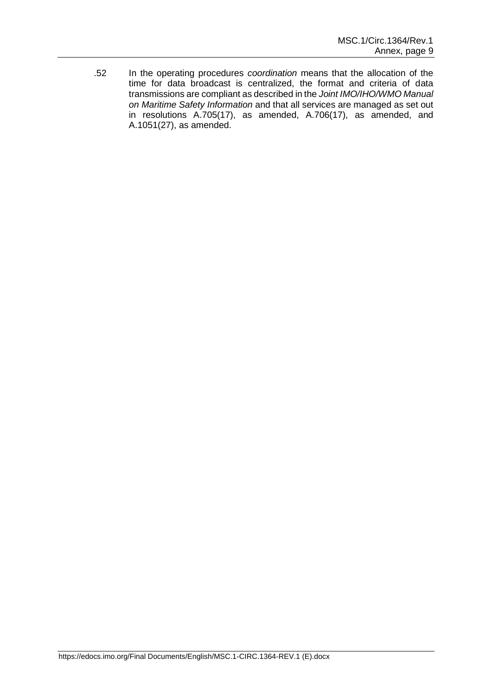.52 In the operating procedures *coordination* means that the allocation of the time for data broadcast is centralized, the format and criteria of data transmissions are compliant as described in the *Joint IMO/IHO/WMO Manual on Maritime Safety Information* and that all services are managed as set out in resolutions A.705(17), as amended, A.706(17), as amended, and A.1051(27), as amended.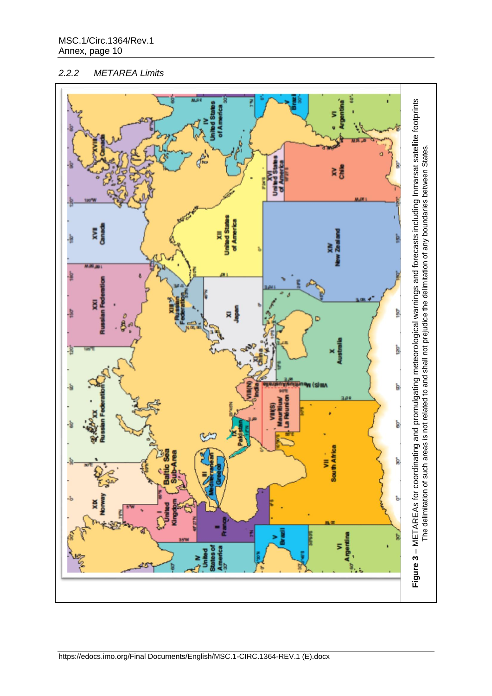# *2.2.2 METAREA Limits*

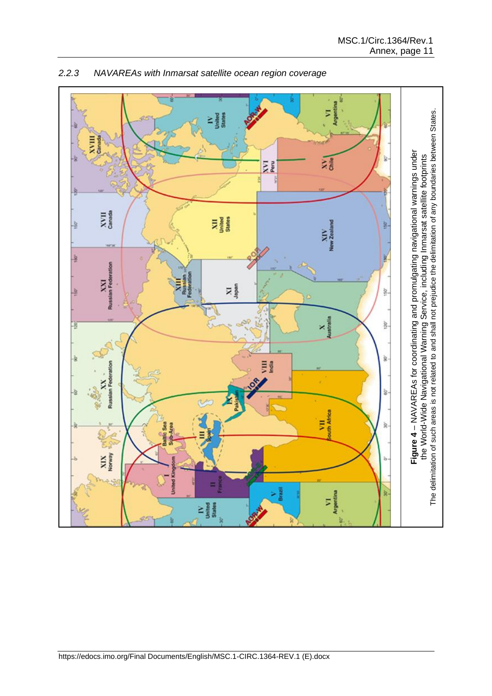

*2.2.3 NAVAREAs with Inmarsat satellite ocean region coverage*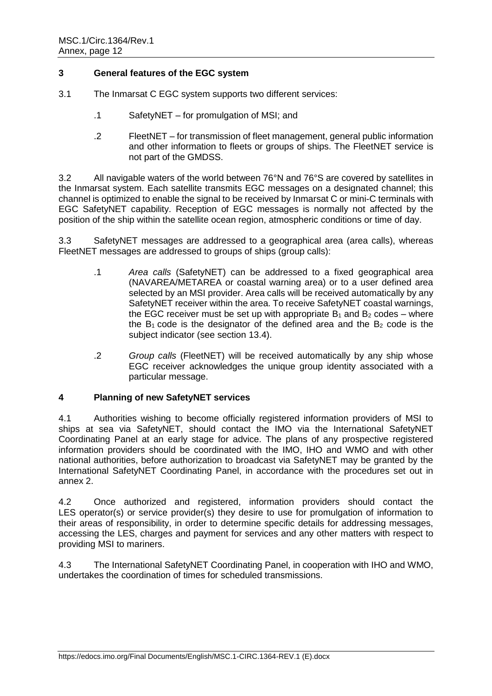# **3 General features of the EGC system**

- 3.1 The Inmarsat C EGC system supports two different services:
	- .1 SafetyNET for promulgation of MSI; and
	- .2 FleetNET for transmission of fleet management, general public information and other information to fleets or groups of ships. The FleetNET service is not part of the GMDSS.

3.2 All navigable waters of the world between 76°N and 76°S are covered by satellites in the Inmarsat system. Each satellite transmits EGC messages on a designated channel; this channel is optimized to enable the signal to be received by Inmarsat C or mini-C terminals with EGC SafetyNET capability. Reception of EGC messages is normally not affected by the position of the ship within the satellite ocean region, atmospheric conditions or time of day.

3.3 SafetyNET messages are addressed to a geographical area (area calls), whereas FleetNET messages are addressed to groups of ships (group calls):

- .1 *Area calls* (SafetyNET) can be addressed to a fixed geographical area (NAVAREA/METAREA or coastal warning area) or to a user defined area selected by an MSI provider. Area calls will be received automatically by any SafetyNET receiver within the area. To receive SafetyNET coastal warnings, the EGC receiver must be set up with appropriate  $B_1$  and  $B_2$  codes – where the  $B_1$  code is the designator of the defined area and the  $B_2$  code is the subject indicator (see section 13.4).
- .2 *Group calls* (FleetNET) will be received automatically by any ship whose EGC receiver acknowledges the unique group identity associated with a particular message.

# **4 Planning of new SafetyNET services**

4.1 Authorities wishing to become officially registered information providers of MSI to ships at sea via SafetyNET, should contact the IMO via the International SafetyNET Coordinating Panel at an early stage for advice. The plans of any prospective registered information providers should be coordinated with the IMO, IHO and WMO and with other national authorities, before authorization to broadcast via SafetyNET may be granted by the International SafetyNET Coordinating Panel, in accordance with the procedures set out in annex 2.

4.2 Once authorized and registered, information providers should contact the LES operator(s) or service provider(s) they desire to use for promulgation of information to their areas of responsibility, in order to determine specific details for addressing messages, accessing the LES, charges and payment for services and any other matters with respect to providing MSI to mariners.

4.3 The International SafetyNET Coordinating Panel, in cooperation with IHO and WMO, undertakes the coordination of times for scheduled transmissions.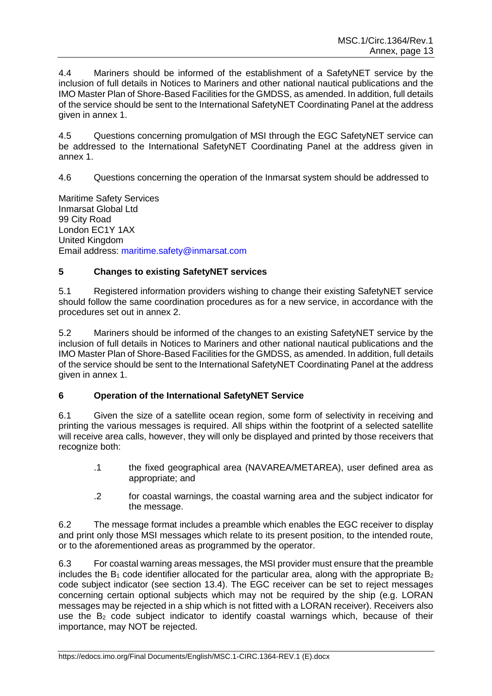4.4 Mariners should be informed of the establishment of a SafetyNET service by the inclusion of full details in Notices to Mariners and other national nautical publications and the IMO Master Plan of Shore-Based Facilities for the GMDSS, as amended. In addition, full details of the service should be sent to the International SafetyNET Coordinating Panel at the address given in annex 1.

4.5 Questions concerning promulgation of MSI through the EGC SafetyNET service can be addressed to the International SafetyNET Coordinating Panel at the address given in annex 1.

4.6 Questions concerning the operation of the Inmarsat system should be addressed to

Maritime Safety Services Inmarsat Global Ltd 99 City Road London EC1Y 1AX United Kingdom Email address: maritime.safety@inmarsat.com

# **5 Changes to existing SafetyNET services**

5.1 Registered information providers wishing to change their existing SafetyNET service should follow the same coordination procedures as for a new service, in accordance with the procedures set out in annex 2.

5.2 Mariners should be informed of the changes to an existing SafetyNET service by the inclusion of full details in Notices to Mariners and other national nautical publications and the IMO Master Plan of Shore-Based Facilities for the GMDSS, as amended. In addition, full details of the service should be sent to the International SafetyNET Coordinating Panel at the address given in annex 1.

# **6 Operation of the International SafetyNET Service**

6.1 Given the size of a satellite ocean region, some form of selectivity in receiving and printing the various messages is required. All ships within the footprint of a selected satellite will receive area calls, however, they will only be displayed and printed by those receivers that recognize both:

- .1 the fixed geographical area (NAVAREA/METAREA), user defined area as appropriate; and
- .2 for coastal warnings, the coastal warning area and the subject indicator for the message.

6.2 The message format includes a preamble which enables the EGC receiver to display and print only those MSI messages which relate to its present position, to the intended route, or to the aforementioned areas as programmed by the operator.

6.3 For coastal warning areas messages, the MSI provider must ensure that the preamble includes the  $B_1$  code identifier allocated for the particular area, along with the appropriate  $B_2$ code subject indicator (see section 13.4). The EGC receiver can be set to reject messages concerning certain optional subjects which may not be required by the ship (e.g. LORAN messages may be rejected in a ship which is not fitted with a LORAN receiver). Receivers also use the  $B<sub>2</sub>$  code subject indicator to identify coastal warnings which, because of their importance, may NOT be rejected.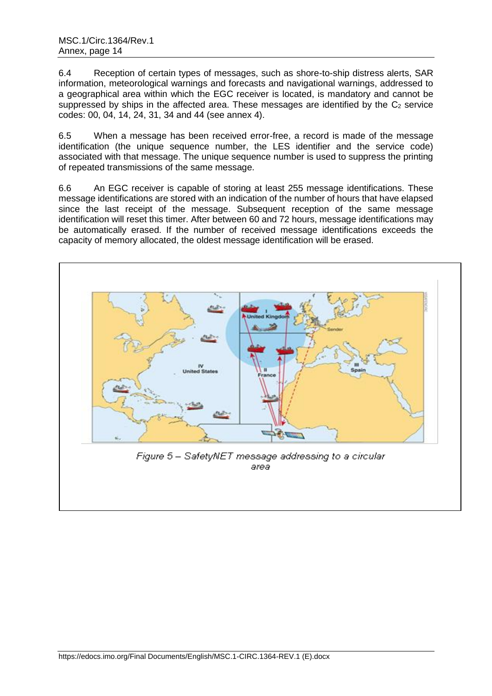6.4 Reception of certain types of messages, such as shore-to-ship distress alerts, SAR information, meteorological warnings and forecasts and navigational warnings, addressed to a geographical area within which the EGC receiver is located, is mandatory and cannot be suppressed by ships in the affected area. These messages are identified by the  $C_2$  service codes: 00, 04, 14, 24, 31, 34 and 44 (see annex 4).

6.5 When a message has been received error-free, a record is made of the message identification (the unique sequence number, the LES identifier and the service code) associated with that message. The unique sequence number is used to suppress the printing of repeated transmissions of the same message.

6.6 An EGC receiver is capable of storing at least 255 message identifications. These message identifications are stored with an indication of the number of hours that have elapsed since the last receipt of the message. Subsequent reception of the same message identification will reset this timer. After between 60 and 72 hours, message identifications may be automatically erased. If the number of received message identifications exceeds the capacity of memory allocated, the oldest message identification will be erased.

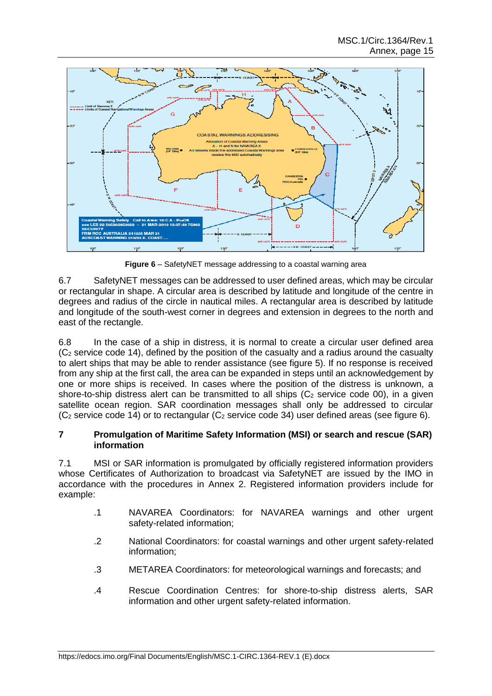

**Figure 6** – SafetyNET message addressing to a coastal warning area

6.7 SafetyNET messages can be addressed to user defined areas, which may be circular or rectangular in shape. A circular area is described by latitude and longitude of the centre in degrees and radius of the circle in nautical miles. A rectangular area is described by latitude and longitude of the south-west corner in degrees and extension in degrees to the north and east of the rectangle.

6.8 In the case of a ship in distress, it is normal to create a circular user defined area  $(C<sub>2</sub>$  service code 14), defined by the position of the casualty and a radius around the casualty to alert ships that may be able to render assistance (see figure 5). If no response is received from any ship at the first call, the area can be expanded in steps until an acknowledgement by one or more ships is received. In cases where the position of the distress is unknown, a shore-to-ship distress alert can be transmitted to all ships  $(C_2$  service code 00), in a given satellite ocean region. SAR coordination messages shall only be addressed to circular  $(C_2$  service code 14) or to rectangular  $(C_2$  service code 34) user defined areas (see figure 6).

# **7 Promulgation of Maritime Safety Information (MSI) or search and rescue (SAR) information**

7.1 MSI or SAR information is promulgated by officially registered information providers whose Certificates of Authorization to broadcast via SafetyNET are issued by the IMO in accordance with the procedures in Annex 2. Registered information providers include for example:

- .1 NAVAREA Coordinators: for NAVAREA warnings and other urgent safety-related information;
- .2 National Coordinators: for coastal warnings and other urgent safety-related information;
- .3 METAREA Coordinators: for meteorological warnings and forecasts; and
- .4 Rescue Coordination Centres: for shore-to-ship distress alerts, SAR information and other urgent safety-related information.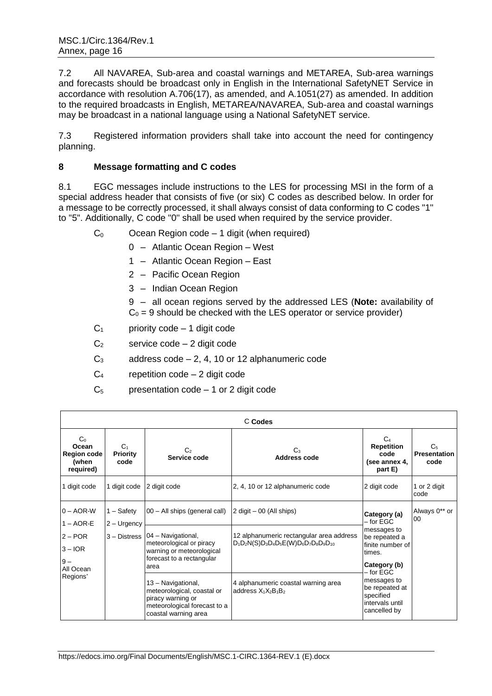7.2 All NAVAREA, Sub-area and coastal warnings and METAREA, Sub-area warnings and forecasts should be broadcast only in English in the International SafetyNET Service in accordance with resolution A.706(17), as amended, and A.1051(27) as amended. In addition to the required broadcasts in English, METAREA/NAVAREA, Sub-area and coastal warnings may be broadcast in a national language using a National SafetyNET service.

7.3 Registered information providers shall take into account the need for contingency planning.

# **8 Message formatting and C codes**

8.1 EGC messages include instructions to the LES for processing MSI in the form of a special address header that consists of five (or six) C codes as described below. In order for a message to be correctly processed, it shall always consist of data conforming to C codes "1" to "5". Additionally, C code "0" shall be used when required by the service provider.

- $C_0$  Ocean Region code 1 digit (when required)
	- 0 Atlantic Ocean Region West
	- 1 Atlantic Ocean Region East
	- 2 Pacific Ocean Region
	- 3 Indian Ocean Region

9 – all ocean regions served by the addressed LES (**Note:** availability of  $C_0 = 9$  should be checked with the LES operator or service provider)

- $C_1$  priority code 1 digit code
- $C_2$  service code 2 digit code
- $C_3$  address code 2, 4, 10 or 12 alphanumeric code
- $C_4$  repetition code 2 digit code
- $C_5$  presentation code 1 or 2 digit code

| C Codes                                                             |                                           |                                                                                                                                 |                                                                                         |                                                                                                                                                                                                             |                                               |  |
|---------------------------------------------------------------------|-------------------------------------------|---------------------------------------------------------------------------------------------------------------------------------|-----------------------------------------------------------------------------------------|-------------------------------------------------------------------------------------------------------------------------------------------------------------------------------------------------------------|-----------------------------------------------|--|
| C <sub>0</sub><br>Ocean<br><b>Region code</b><br>(when<br>required) | C <sub>1</sub><br><b>Priority</b><br>code | C <sub>2</sub><br>Service code                                                                                                  | $C_3$<br><b>Address code</b>                                                            | C <sub>4</sub><br><b>Repetition</b><br>code<br>(see annex 4,<br>part E)                                                                                                                                     | C <sub>5</sub><br><b>Presentation</b><br>code |  |
| 1 digit code                                                        | 1 digit code                              | 2 digit code                                                                                                                    | 2, 4, 10 or 12 alphanumeric code                                                        | 2 digit code                                                                                                                                                                                                | 1 or 2 digit<br>code                          |  |
| $0 - AOR-W$<br>$1 - AOR-E$                                          | 1 – Safetv<br>$2 -$ Urgency               | 00 - All ships (general call)                                                                                                   | $2$ digit $-00$ (All ships)                                                             | Category (a)<br>00<br>– for EGC<br>messages to<br>be repeated a<br>finite number of<br>times.<br>Category (b)<br>– for EGC<br>messages to<br>be repeated at<br>specified<br>intervals until<br>cancelled by | Always 0** or                                 |  |
| $2 - POR$<br>$3 - IOR$<br>$9-$<br>All Ocean                         |                                           | 3 - Distress   04 - Navigational,<br>meteorological or piracy<br>warning or meteorological<br>forecast to a rectangular<br>area | 12 alphanumeric rectangular area address<br>$D_1D_2N(S)D_3D_4D_5E(W)D_6D_7D_8D_9D_{10}$ |                                                                                                                                                                                                             |                                               |  |
| Regions*                                                            |                                           | 13 - Navigational,<br>meteorological, coastal or<br>piracy warning or<br>meteorological forecast to a<br>coastal warning area   | 4 alphanumeric coastal warning area<br>address $X_1X_2B_1B_2$                           |                                                                                                                                                                                                             |                                               |  |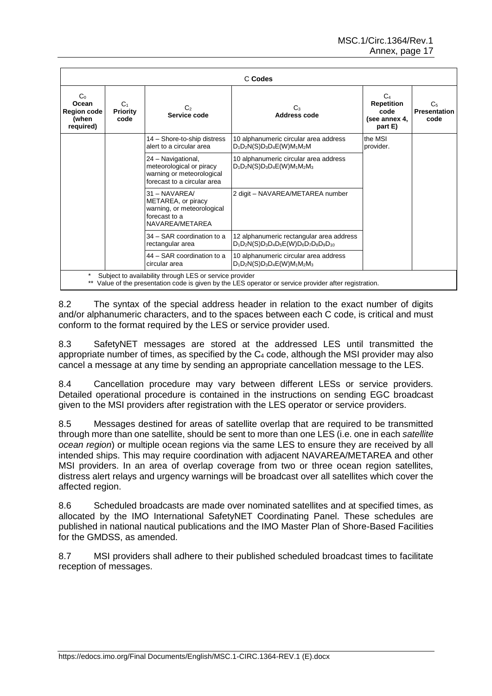|                                                            | C Codes                                                                                                                                                        |                                                                                                            |                                                                                         |                                                                         |                                               |  |  |
|------------------------------------------------------------|----------------------------------------------------------------------------------------------------------------------------------------------------------------|------------------------------------------------------------------------------------------------------------|-----------------------------------------------------------------------------------------|-------------------------------------------------------------------------|-----------------------------------------------|--|--|
| $C_0$<br>Ocean<br><b>Region code</b><br>(when<br>required) | C <sub>1</sub><br>Priority<br>code                                                                                                                             | C <sub>2</sub><br>Service code                                                                             | C٠<br>Address code                                                                      | C <sub>4</sub><br><b>Repetition</b><br>code<br>(see annex 4,<br>part E) | C <sub>5</sub><br><b>Presentation</b><br>code |  |  |
|                                                            |                                                                                                                                                                | 14 - Shore-to-ship distress<br>alert to a circular area                                                    | 10 alphanumeric circular area address<br>$D_1D_2N(S)D_3D_4E(W)M_1M_2M$                  | the MSI<br>provider.                                                    |                                               |  |  |
|                                                            |                                                                                                                                                                | 24 - Navigational,<br>meteorological or piracy<br>warning or meteorological<br>forecast to a circular area | 10 alphanumeric circular area address<br>$D_1D_2N(S)D_3D_4E(W)M_1M_2M_3$                |                                                                         |                                               |  |  |
|                                                            |                                                                                                                                                                | $31 - NAVAREA/$<br>METAREA, or piracy<br>warning, or meteorological<br>forecast to a<br>NAVAREA/METAREA    | 2 digit - NAVAREA/METAREA number                                                        |                                                                         |                                               |  |  |
|                                                            |                                                                                                                                                                | 34 – SAR coordination to a<br>rectangular area                                                             | 12 alphanumeric rectangular area address<br>$D_1D_2N(S)D_3D_4D_5E(W)D_6D_7D_8D_9D_{10}$ |                                                                         |                                               |  |  |
|                                                            |                                                                                                                                                                | 44 – SAR coordination to a<br>circular area                                                                | 10 alphanumeric circular area address<br>$D_1D_2N(S)D_3D_4E(W)M_1M_2M_3$                |                                                                         |                                               |  |  |
|                                                            | Subject to availability through LES or service provider<br>Value of the presentation code is given by the LES operator or service provider after registration. |                                                                                                            |                                                                                         |                                                                         |                                               |  |  |

8.2 The syntax of the special address header in relation to the exact number of digits and/or alphanumeric characters, and to the spaces between each C code, is critical and must conform to the format required by the LES or service provider used.

8.3 SafetyNET messages are stored at the addressed LES until transmitted the appropriate number of times, as specified by the  $C_4$  code, although the MSI provider may also cancel a message at any time by sending an appropriate cancellation message to the LES.

8.4 Cancellation procedure may vary between different LESs or service providers. Detailed operational procedure is contained in the instructions on sending EGC broadcast given to the MSI providers after registration with the LES operator or service providers.

8.5 Messages destined for areas of satellite overlap that are required to be transmitted through more than one satellite, should be sent to more than one LES (i.e. one in each *satellite ocean region*) or multiple ocean regions via the same LES to ensure they are received by all intended ships. This may require coordination with adjacent NAVAREA/METAREA and other MSI providers. In an area of overlap coverage from two or three ocean region satellites, distress alert relays and urgency warnings will be broadcast over all satellites which cover the affected region.

8.6 Scheduled broadcasts are made over nominated satellites and at specified times, as allocated by the IMO International SafetyNET Coordinating Panel. These schedules are published in national nautical publications and the IMO Master Plan of Shore-Based Facilities for the GMDSS, as amended.

8.7 MSI providers shall adhere to their published scheduled broadcast times to facilitate reception of messages.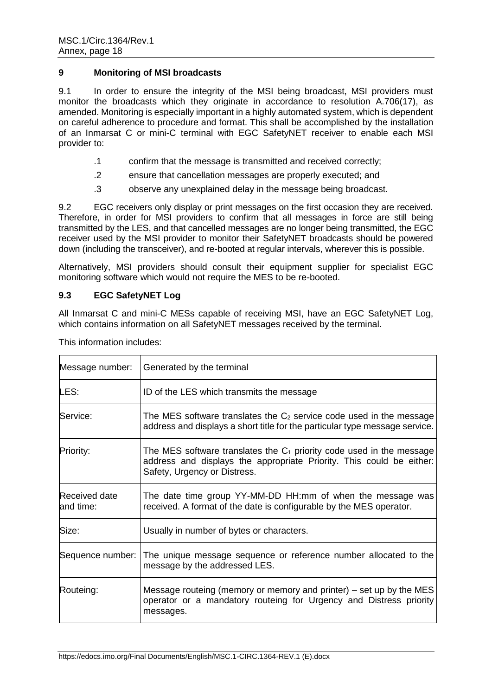# **9 Monitoring of MSI broadcasts**

9.1 In order to ensure the integrity of the MSI being broadcast, MSI providers must monitor the broadcasts which they originate in accordance to resolution A.706(17), as amended. Monitoring is especially important in a highly automated system, which is dependent on careful adherence to procedure and format. This shall be accomplished by the installation of an Inmarsat C or mini-C terminal with EGC SafetyNET receiver to enable each MSI provider to:

- .1 confirm that the message is transmitted and received correctly;
- .2 ensure that cancellation messages are properly executed; and
- .3 observe any unexplained delay in the message being broadcast.

9.2 EGC receivers only display or print messages on the first occasion they are received. Therefore, in order for MSI providers to confirm that all messages in force are still being transmitted by the LES, and that cancelled messages are no longer being transmitted, the EGC receiver used by the MSI provider to monitor their SafetyNET broadcasts should be powered down (including the transceiver), and re-booted at regular intervals, wherever this is possible.

Alternatively, MSI providers should consult their equipment supplier for specialist EGC monitoring software which would not require the MES to be re-booted.

# **9.3 EGC SafetyNET Log**

All Inmarsat C and mini-C MESs capable of receiving MSI, have an EGC SafetyNET Log, which contains information on all SafetyNET messages received by the terminal.

| Message number:                   | Generated by the terminal                                                                                                                                                       |
|-----------------------------------|---------------------------------------------------------------------------------------------------------------------------------------------------------------------------------|
| LES:                              | ID of the LES which transmits the message                                                                                                                                       |
| Service:                          | The MES software translates the $C_2$ service code used in the message<br>address and displays a short title for the particular type message service.                           |
| Priority:                         | The MES software translates the $C_1$ priority code used in the message<br>address and displays the appropriate Priority. This could be either:<br>Safety, Urgency or Distress. |
| <b>Received date</b><br>and time: | The date time group YY-MM-DD HH:mm of when the message was<br>received. A format of the date is configurable by the MES operator.                                               |
| Size:                             | Usually in number of bytes or characters.                                                                                                                                       |
| Sequence number:                  | The unique message sequence or reference number allocated to the<br>message by the addressed LES.                                                                               |
| Routeing:                         | Message routeing (memory or memory and printer) – set up by the MES<br>operator or a mandatory routeing for Urgency and Distress priority<br>messages.                          |

This information includes: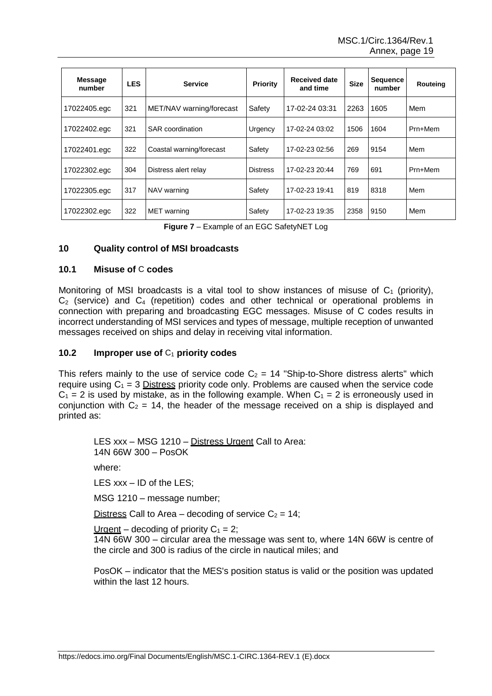| <b>Message</b><br>number | <b>LES</b> | <b>Service</b>           | <b>Priority</b> | Received date<br>and time | <b>Size</b> | <b>Sequence</b><br>number | Routeing |
|--------------------------|------------|--------------------------|-----------------|---------------------------|-------------|---------------------------|----------|
| 17022405.egc             | 321        | MET/NAV warning/forecast | Safety          | 17-02-24 03:31            | 2263        | 1605                      | Mem      |
| 17022402.egc             | 321        | SAR coordination         | Urgency         | 17-02-24 03:02            | 1506        | 1604                      | Prn+Mem  |
| 17022401.egc             | 322        | Coastal warning/forecast | Safety          | 17-02-23 02:56            | 269         | 9154                      | Mem      |
| 17022302.egc             | 304        | Distress alert relay     | <b>Distress</b> | 17-02-23 20:44            | 769         | 691                       | Prn+Mem  |
| 17022305.egc             | 317        | NAV warning              | Safety          | 17-02-23 19:41            | 819         | 8318                      | Mem      |
| 17022302.egc             | 322        | <b>MET</b> warning       | Safety          | 17-02-23 19:35            | 2358        | 9150                      | Mem      |

**Figure 7** – Example of an EGC SafetyNET Log

#### **10 Quality control of MSI broadcasts**

#### **10.1 Misuse of** C **codes**

Monitoring of MSI broadcasts is a vital tool to show instances of misuse of  $C_1$  (priority), C<sup>2</sup> (service) and C<sup>4</sup> (repetition) codes and other technical or operational problems in connection with preparing and broadcasting EGC messages. Misuse of C codes results in incorrect understanding of MSI services and types of message, multiple reception of unwanted messages received on ships and delay in receiving vital information.

#### **10.2 Improper use of** C<sup>1</sup> **priority codes**

This refers mainly to the use of service code  $C_2 = 14$  "Ship-to-Shore distress alerts" which require using  $C_1 = 3$  Distress priority code only. Problems are caused when the service code  $C_1 = 2$  is used by mistake, as in the following example. When  $C_1 = 2$  is erroneously used in conjunction with  $C_2 = 14$ , the header of the message received on a ship is displayed and printed as:

LES xxx – MSG 1210 – Distress Urgent Call to Area: 14N 66W 300 – PosOK where:

LES xxx – ID of the LES;

MSG 1210 – message number;

Distress Call to Area – decoding of service  $C_2 = 14$ ;

Urgent – decoding of priority  $C_1 = 2$ ;

14N 66W 300 – circular area the message was sent to, where 14N 66W is centre of the circle and 300 is radius of the circle in nautical miles; and

PosOK – indicator that the MES's position status is valid or the position was updated within the last 12 hours.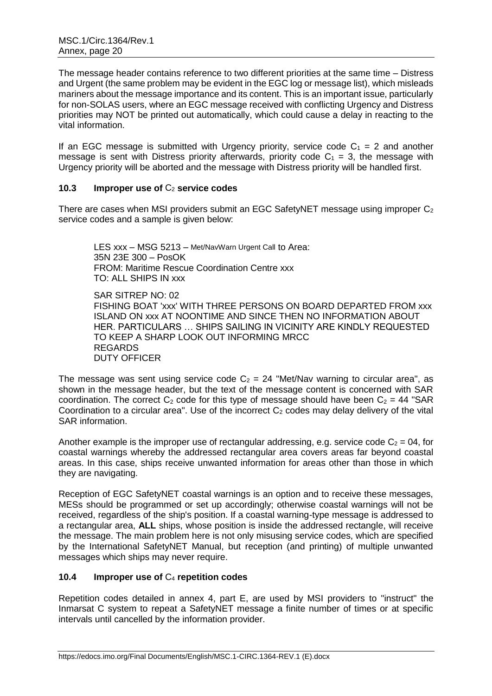The message header contains reference to two different priorities at the same time – Distress and Urgent (the same problem may be evident in the EGC log or message list), which misleads mariners about the message importance and its content. This is an important issue, particularly for non-SOLAS users, where an EGC message received with conflicting Urgency and Distress priorities may NOT be printed out automatically, which could cause a delay in reacting to the vital information.

If an EGC message is submitted with Urgency priority, service code  $C_1 = 2$  and another message is sent with Distress priority afterwards, priority code  $C_1 = 3$ , the message with Urgency priority will be aborted and the message with Distress priority will be handled first.

# **10.3 Improper use of** C<sup>2</sup> **service codes**

There are cases when MSI providers submit an EGC SafetyNET message using improper  $C_2$ service codes and a sample is given below:

LES xxx – MSG 5213 – Met/NavWarn Urgent Call to Area: 35N 23E 300 – PosOK FROM: Maritime Rescue Coordination Centre xxx TO: ALL SHIPS IN xxx

SAR SITREP NO: 02 FISHING BOAT 'xxx' WITH THREE PERSONS ON BOARD DEPARTED FROM xxx ISLAND ON xxx AT NOONTIME AND SINCE THEN NO INFORMATION ABOUT HER. PARTICULARS … SHIPS SAILING IN VICINITY ARE KINDLY REQUESTED TO KEEP A SHARP LOOK OUT INFORMING MRCC REGARDS DUTY OFFICER

The message was sent using service code  $C_2 = 24$  "Met/Nav warning to circular area", as shown in the message header, but the text of the message content is concerned with SAR coordination. The correct  $C_2$  code for this type of message should have been  $C_2 = 44$  "SAR Coordination to a circular area". Use of the incorrect  $C_2$  codes may delay delivery of the vital SAR information.

Another example is the improper use of rectangular addressing, e.g. service code  $C_2 = 04$ , for coastal warnings whereby the addressed rectangular area covers areas far beyond coastal areas. In this case, ships receive unwanted information for areas other than those in which they are navigating.

Reception of EGC SafetyNET coastal warnings is an option and to receive these messages, MESs should be programmed or set up accordingly; otherwise coastal warnings will not be received, regardless of the ship's position. If a coastal warning-type message is addressed to a rectangular area, **ALL** ships, whose position is inside the addressed rectangle, will receive the message. The main problem here is not only misusing service codes, which are specified by the International SafetyNET Manual, but reception (and printing) of multiple unwanted messages which ships may never require.

# **10.4 Improper use of** C<sup>4</sup> **repetition codes**

Repetition codes detailed in annex 4, part E, are used by MSI providers to "instruct" the Inmarsat C system to repeat a SafetyNET message a finite number of times or at specific intervals until cancelled by the information provider.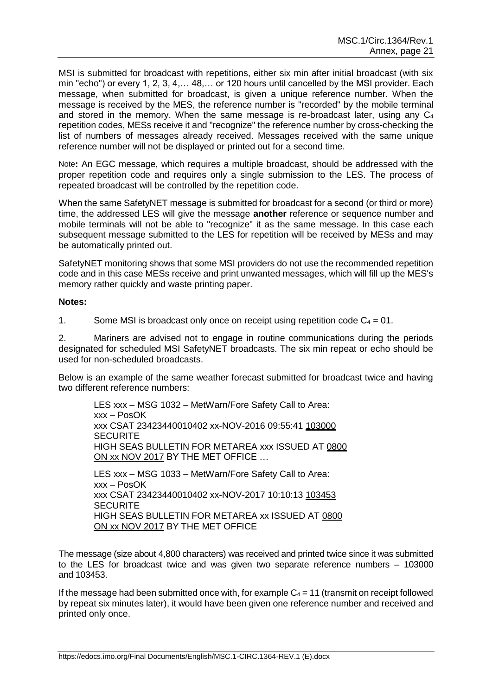MSI is submitted for broadcast with repetitions, either six min after initial broadcast (with six min "echo") or every 1, 2, 3, 4,… 48,… or 120 hours until cancelled by the MSI provider. Each message, when submitted for broadcast, is given a unique reference number. When the message is received by the MES, the reference number is "recorded" by the mobile terminal and stored in the memory. When the same message is re-broadcast later, using any  $C_4$ repetition codes, MESs receive it and "recognize" the reference number by cross-checking the list of numbers of messages already received. Messages received with the same unique reference number will not be displayed or printed out for a second time.

Note**:** An EGC message, which requires a multiple broadcast, should be addressed with the proper repetition code and requires only a single submission to the LES. The process of repeated broadcast will be controlled by the repetition code.

When the same SafetyNET message is submitted for broadcast for a second (or third or more) time, the addressed LES will give the message **another** reference or sequence number and mobile terminals will not be able to "recognize" it as the same message. In this case each subsequent message submitted to the LES for repetition will be received by MESs and may be automatically printed out.

SafetyNET monitoring shows that some MSI providers do not use the recommended repetition code and in this case MESs receive and print unwanted messages, which will fill up the MES's memory rather quickly and waste printing paper.

#### **Notes:**

1. Some MSI is broadcast only once on receipt using repetition code  $C_4 = 01$ .

2. Mariners are advised not to engage in routine communications during the periods designated for scheduled MSI SafetyNET broadcasts. The six min repeat or echo should be used for non-scheduled broadcasts.

Below is an example of the same weather forecast submitted for broadcast twice and having two different reference numbers:

LES xxx – MSG 1032 – MetWarn/Fore Safety Call to Area: xxx – PosOK xxx CSAT 23423440010402 xx-NOV-2016 09:55:41 103000 **SECURITE** HIGH SEAS BULLETIN FOR METAREA xxx ISSUED AT 0800 ON xx NOV 2017 BY THE MET OFFICE … LES xxx – MSG 1033 – MetWarn/Fore Safety Call to Area: xxx – PosOK xxx CSAT 23423440010402 xx-NOV-2017 10:10:13 103453

**SECURITE** HIGH SEAS BULLETIN FOR METAREA xx ISSUED AT 0800 ON xx NOV 2017 BY THE MET OFFICE

The message (size about 4,800 characters) was received and printed twice since it was submitted to the LES for broadcast twice and was given two separate reference numbers – 103000 and 103453.

If the message had been submitted once with, for example  $C_4 = 11$  (transmit on receipt followed by repeat six minutes later), it would have been given one reference number and received and printed only once.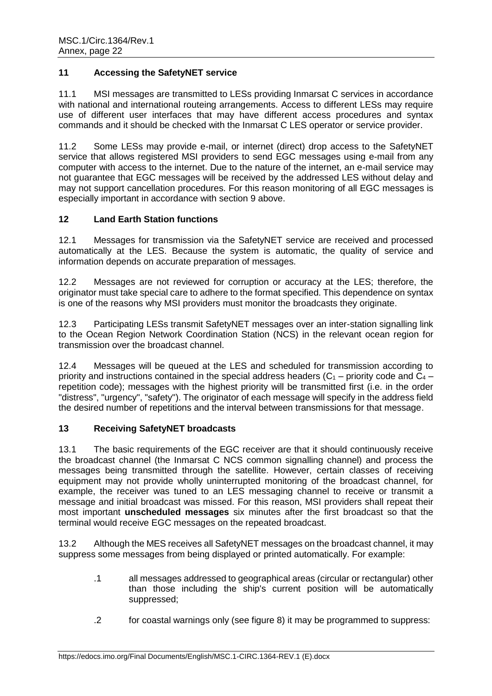# **11 Accessing the SafetyNET service**

11.1 MSI messages are transmitted to LESs providing Inmarsat C services in accordance with national and international routeing arrangements. Access to different LESs may require use of different user interfaces that may have different access procedures and syntax commands and it should be checked with the Inmarsat C LES operator or service provider.

11.2 Some LESs may provide e-mail, or internet (direct) drop access to the SafetyNET service that allows registered MSI providers to send EGC messages using e-mail from any computer with access to the internet. Due to the nature of the internet, an e-mail service may not guarantee that EGC messages will be received by the addressed LES without delay and may not support cancellation procedures. For this reason monitoring of all EGC messages is especially important in accordance with section 9 above.

# **12 Land Earth Station functions**

12.1 Messages for transmission via the SafetyNET service are received and processed automatically at the LES. Because the system is automatic, the quality of service and information depends on accurate preparation of messages.

12.2 Messages are not reviewed for corruption or accuracy at the LES; therefore, the originator must take special care to adhere to the format specified. This dependence on syntax is one of the reasons why MSI providers must monitor the broadcasts they originate.

12.3 Participating LESs transmit SafetyNET messages over an inter-station signalling link to the Ocean Region Network Coordination Station (NCS) in the relevant ocean region for transmission over the broadcast channel.

12.4 Messages will be queued at the LES and scheduled for transmission according to priority and instructions contained in the special address headers  $(C_1 -$  priority code and  $C_4$ repetition code); messages with the highest priority will be transmitted first (i.e. in the order "distress", "urgency", "safety"). The originator of each message will specify in the address field the desired number of repetitions and the interval between transmissions for that message.

# **13 Receiving SafetyNET broadcasts**

13.1 The basic requirements of the EGC receiver are that it should continuously receive the broadcast channel (the Inmarsat C NCS common signalling channel) and process the messages being transmitted through the satellite. However, certain classes of receiving equipment may not provide wholly uninterrupted monitoring of the broadcast channel, for example, the receiver was tuned to an LES messaging channel to receive or transmit a message and initial broadcast was missed. For this reason, MSI providers shall repeat their most important **unscheduled messages** six minutes after the first broadcast so that the terminal would receive EGC messages on the repeated broadcast.

13.2 Although the MES receives all SafetyNET messages on the broadcast channel, it may suppress some messages from being displayed or printed automatically. For example:

- .1 all messages addressed to geographical areas (circular or rectangular) other than those including the ship's current position will be automatically suppressed;
- .2 for coastal warnings only (see figure 8) it may be programmed to suppress: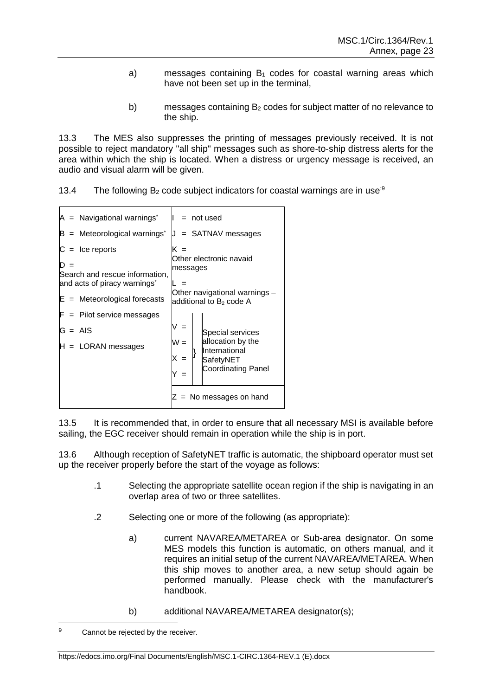- a) messages containing  $B_1$  codes for coastal warning areas which have not been set up in the terminal,
- b) messages containing  $B_2$  codes for subject matter of no relevance to the ship.

13.3 The MES also suppresses the printing of messages previously received. It is not possible to reject mandatory "all ship" messages such as shore-to-ship distress alerts for the area within which the ship is located. When a distress or urgency message is received, an audio and visual alarm will be given.

| 13.4 | The following $B_2$ code subject indicators for coastal warnings are in use <sup>39</sup> |  |  |  |  |  |
|------|-------------------------------------------------------------------------------------------|--|--|--|--|--|
|------|-------------------------------------------------------------------------------------------|--|--|--|--|--|

| $A =$ Navigational warnings <sup>*</sup>                                                        | = not used                                                           |  |  |
|-------------------------------------------------------------------------------------------------|----------------------------------------------------------------------|--|--|
| $B =$ Meteorological warnings <sup>*</sup>                                                      | = SATNAV messages                                                    |  |  |
| $C =$ Ice reports<br>Search and rescue information,<br>and acts of piracy warnings <sup>*</sup> | Other electronic navaid<br>messages<br>Other navigational warnings - |  |  |
| $E =$ Meteorological forecasts                                                                  | additional to $B2$ code A                                            |  |  |
| $F =$ Pilot service messages                                                                    |                                                                      |  |  |
| $G = AIS$                                                                                       | $=$<br>Special services                                              |  |  |
| $H =$ LORAN messages                                                                            | allocation by the<br>$W =$<br>International                          |  |  |
|                                                                                                 | SafetyNET<br><b>Coordinating Panel</b>                               |  |  |
|                                                                                                 |                                                                      |  |  |
|                                                                                                 | No messages on hand                                                  |  |  |

13.5 It is recommended that, in order to ensure that all necessary MSI is available before sailing, the EGC receiver should remain in operation while the ship is in port.

13.6 Although reception of SafetyNET traffic is automatic, the shipboard operator must set up the receiver properly before the start of the voyage as follows:

- .1 Selecting the appropriate satellite ocean region if the ship is navigating in an overlap area of two or three satellites.
- .2 Selecting one or more of the following (as appropriate):
	- a) current NAVAREA/METAREA or Sub-area designator. On some MES models this function is automatic, on others manual, and it requires an initial setup of the current NAVAREA/METAREA. When this ship moves to another area, a new setup should again be performed manually. Please check with the manufacturer's handbook.
	- b) additional NAVAREA/METAREA designator(s);

 $\mathsf{o}$ Cannot be rejected by the receiver.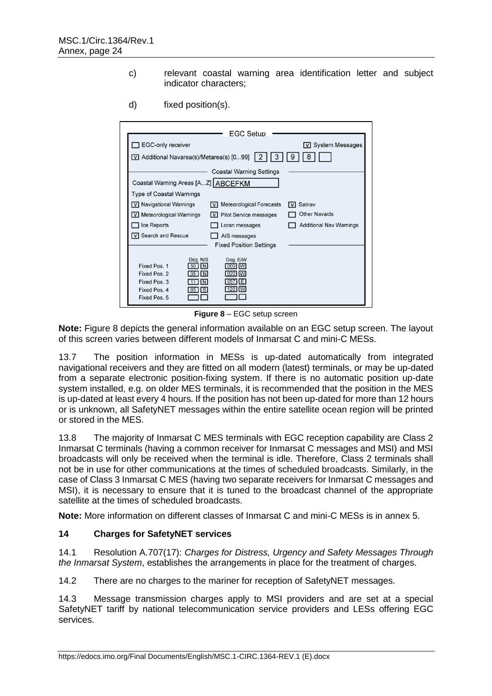c) relevant coastal warning area identification letter and subject indicator characters;

|                                                                                                                                                                         | EGC Setup                                                                 |                                    |
|-------------------------------------------------------------------------------------------------------------------------------------------------------------------------|---------------------------------------------------------------------------|------------------------------------|
| EGC-only receiver                                                                                                                                                       |                                                                           | $\boxed{\text{V}}$ System Messages |
| V Additional Navarea(s)/Metarea(s) [099]                                                                                                                                |                                                                           |                                    |
|                                                                                                                                                                         | <b>Coastal Warning Settings</b>                                           |                                    |
| Coastal Warning Areas [AZ] ABCEFKM                                                                                                                                      |                                                                           |                                    |
| <b>Type of Coastal Warnings</b>                                                                                                                                         |                                                                           |                                    |
| V Navigational Warnings                                                                                                                                                 | <b>Meteorological Forecasts</b><br>l v l                                  | Satnav<br>I v I                    |
| V Meteorological Warnings                                                                                                                                               | Pilot Service messages<br>l v I                                           | <b>Other Navaids</b>               |
| $\Box$ Ice Reports                                                                                                                                                      | Loran messages                                                            | <b>Additional Nav Warnings</b>     |
| V Search and Rescue                                                                                                                                                     | AIS messages                                                              |                                    |
|                                                                                                                                                                         | <b>Fixed Position Settings</b>                                            |                                    |
| Deg. N/S<br>Fixed Pos. 1<br>$\vert N \vert$<br>50<br>Fixed Pos. 2<br>35<br>$\overline{N}$<br>Fixed Pos. 3<br><b>N</b><br><b>S</b><br>Fixed Pos. 4<br>05<br>Fixed Pos. 5 | Dea, E/W<br>009<br>W<br>  020  <br><b>IW</b><br> 057 <br>IEI<br>120<br>IW |                                    |

d) fixed position(s).

**Figure 8** – EGC setup screen

**Note:** Figure 8 depicts the general information available on an EGC setup screen. The layout of this screen varies between different models of Inmarsat C and mini-C MESs.

13.7 The position information in MESs is up-dated automatically from integrated navigational receivers and they are fitted on all modern (latest) terminals, or may be up-dated from a separate electronic position-fixing system. If there is no automatic position up-date system installed, e.g. on older MES terminals, it is recommended that the position in the MES is up-dated at least every 4 hours. If the position has not been up-dated for more than 12 hours or is unknown, all SafetyNET messages within the entire satellite ocean region will be printed or stored in the MES.

13.8 The majority of Inmarsat C MES terminals with EGC reception capability are Class 2 Inmarsat C terminals (having a common receiver for Inmarsat C messages and MSI) and MSI broadcasts will only be received when the terminal is idle. Therefore, Class 2 terminals shall not be in use for other communications at the times of scheduled broadcasts. Similarly, in the case of Class 3 Inmarsat C MES (having two separate receivers for Inmarsat C messages and MSI), it is necessary to ensure that it is tuned to the broadcast channel of the appropriate satellite at the times of scheduled broadcasts.

**Note:** More information on different classes of Inmarsat C and mini-C MESs is in annex 5.

# **14 Charges for SafetyNET services**

14.1 Resolution A.707(17): *Charges for Distress, Urgency and Safety Messages Through the Inmarsat System*, establishes the arrangements in place for the treatment of charges.

14.2 There are no charges to the mariner for reception of SafetyNET messages.

14.3 Message transmission charges apply to MSI providers and are set at a special SafetyNET tariff by national telecommunication service providers and LESs offering EGC services.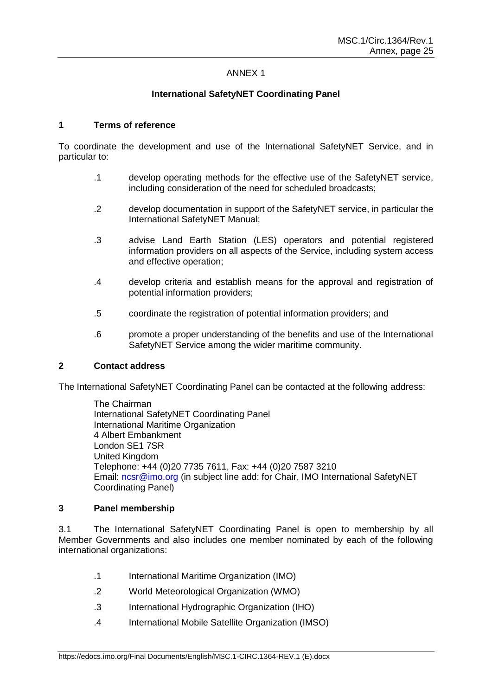# ANNEX 1

# **International SafetyNET Coordinating Panel**

#### **1 Terms of reference**

To coordinate the development and use of the International SafetyNET Service, and in particular to:

- .1 develop operating methods for the effective use of the SafetyNET service, including consideration of the need for scheduled broadcasts;
- .2 develop documentation in support of the SafetyNET service, in particular the International SafetyNET Manual;
- .3 advise Land Earth Station (LES) operators and potential registered information providers on all aspects of the Service, including system access and effective operation;
- .4 develop criteria and establish means for the approval and registration of potential information providers;
- .5 coordinate the registration of potential information providers; and
- .6 promote a proper understanding of the benefits and use of the International SafetyNET Service among the wider maritime community.

#### **2 Contact address**

The International SafetyNET Coordinating Panel can be contacted at the following address:

The Chairman International SafetyNET Coordinating Panel International Maritime Organization 4 Albert Embankment London SE1 7SR United Kingdom Telephone: +44 (0)20 7735 7611, Fax: +44 (0)20 7587 3210 Email: [ncsr@imo.org](mailto:info@imo.org) (in subject line add: for Chair, IMO International SafetyNET Coordinating Panel)

#### **3 Panel membership**

3.1 The International SafetyNET Coordinating Panel is open to membership by all Member Governments and also includes one member nominated by each of the following international organizations:

- .1 International Maritime Organization (IMO)
- .2 World Meteorological Organization (WMO)
- .3 International Hydrographic Organization (IHO)
- .4 International Mobile Satellite Organization (IMSO)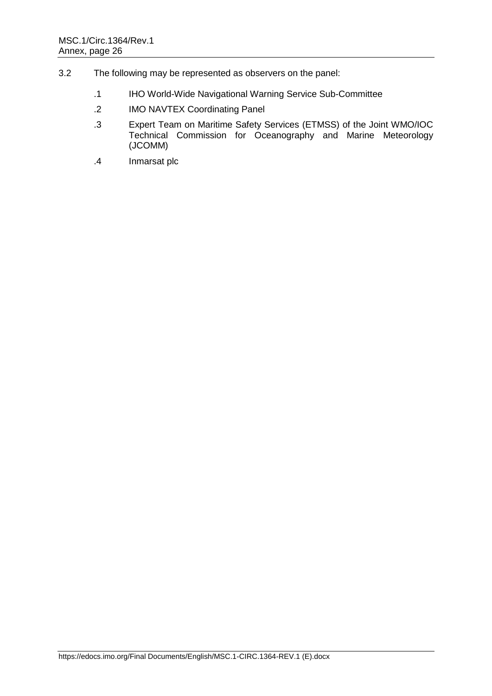- 3.2 The following may be represented as observers on the panel:
	- .1 IHO World-Wide Navigational Warning Service Sub-Committee
	- .2 IMO NAVTEX Coordinating Panel
	- .3 Expert Team on Maritime Safety Services (ETMSS) of the Joint WMO/IOC Technical Commission for Oceanography and Marine Meteorology (JCOMM)
	- .4 Inmarsat plc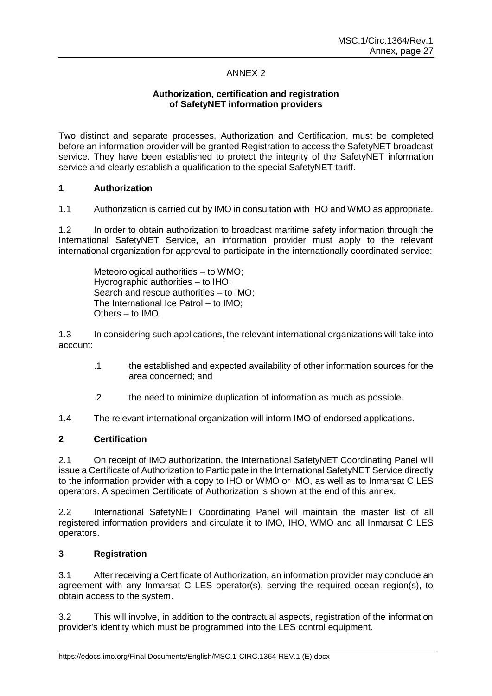# ANNEX 2

# **Authorization, certification and registration of SafetyNET information providers**

Two distinct and separate processes, Authorization and Certification, must be completed before an information provider will be granted Registration to access the SafetyNET broadcast service. They have been established to protect the integrity of the SafetyNET information service and clearly establish a qualification to the special SafetyNET tariff.

# **1 Authorization**

1.1 Authorization is carried out by IMO in consultation with IHO and WMO as appropriate.

1.2 In order to obtain authorization to broadcast maritime safety information through the International SafetyNET Service, an information provider must apply to the relevant international organization for approval to participate in the internationally coordinated service:

Meteorological authorities – to WMO; Hydrographic authorities – to IHO; Search and rescue authorities – to IMO; The International Ice Patrol – to IMO; Others – to IMO.

1.3 In considering such applications, the relevant international organizations will take into account:

- .1 the established and expected availability of other information sources for the area concerned; and
- .2 the need to minimize duplication of information as much as possible.

1.4 The relevant international organization will inform IMO of endorsed applications.

# **2 Certification**

2.1 On receipt of IMO authorization, the International SafetyNET Coordinating Panel will issue a Certificate of Authorization to Participate in the International SafetyNET Service directly to the information provider with a copy to IHO or WMO or IMO, as well as to Inmarsat C LES operators. A specimen Certificate of Authorization is shown at the end of this annex.

2.2 International SafetyNET Coordinating Panel will maintain the master list of all registered information providers and circulate it to IMO, IHO, WMO and all Inmarsat C LES operators.

# **3 Registration**

3.1 After receiving a Certificate of Authorization, an information provider may conclude an agreement with any Inmarsat C LES operator(s), serving the required ocean region(s), to obtain access to the system.

3.2 This will involve, in addition to the contractual aspects, registration of the information provider's identity which must be programmed into the LES control equipment.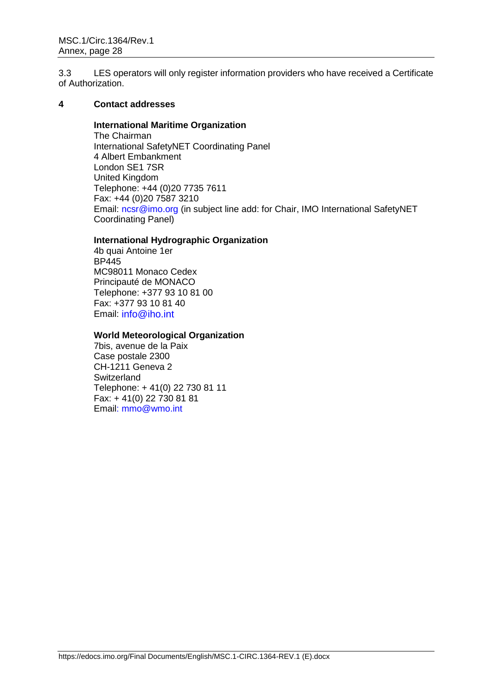3.3 LES operators will only register information providers who have received a Certificate of Authorization.

# **4 Contact addresses**

#### **International Maritime Organization**

The Chairman International SafetyNET Coordinating Panel 4 Albert Embankment London SE1 7SR United Kingdom Telephone: +44 (0)20 7735 7611 Fax: +44 (0)20 7587 3210 Email: [ncsr@imo.org](mailto:info@imo.org) (in subject line add: for Chair, IMO International SafetyNET Coordinating Panel)

# **International Hydrographic Organization**

4b quai Antoine 1er BP445 MC98011 Monaco Cedex Principauté de MONACO Telephone: +377 93 10 81 00 Fax: +377 93 10 81 40 Email: info@iho.int

#### **World Meteorological Organization**

7bis, avenue de la Paix Case postale 2300 CH-1211 Geneva 2 **Switzerland** Telephone: + 41(0) 22 730 81 11 Fax: + 41(0) 22 730 81 81 Email: [mmo@wmo.int](mailto:mmo@wmo.int)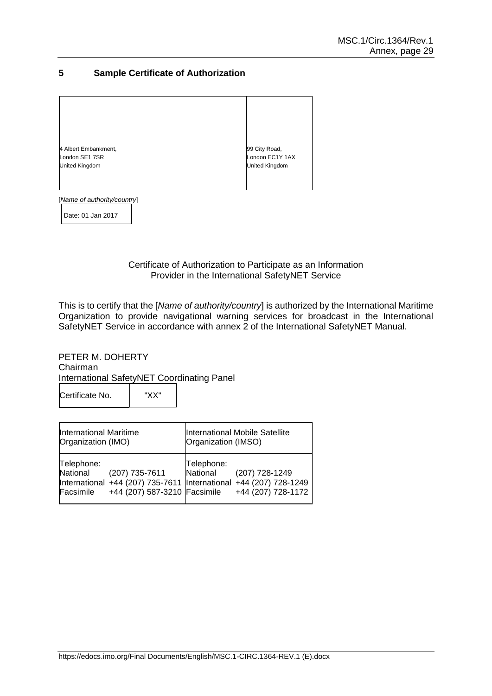# **5 Sample Certificate of Authorization**

| 4 Albert Embankment, | 99 City Road,         |
|----------------------|-----------------------|
| London SE1 7SR       | London EC1Y 1AX       |
| United Kingdom       | <b>United Kingdom</b> |

[*Name of authority/country*]

Date: 01 Jan 2017

Certificate of Authorization to Participate as an Information Provider in the International SafetyNET Service

This is to certify that the [*Name of authority/country*] is authorized by the International Maritime Organization to provide navigational warning services for broadcast in the International SafetyNET Service in accordance with annex 2 of the International SafetyNET Manual.

PETER M. DOHERTY Chairman International SafetyNET Coordinating Panel Certificate No. "XX"

| International Maritime<br>Organization (IMO) |                                                                                                                     | International Mobile Satellite<br>Organization (IMSO) |                                      |
|----------------------------------------------|---------------------------------------------------------------------------------------------------------------------|-------------------------------------------------------|--------------------------------------|
| Telephone:<br>National<br>Facsimile          | (207) 735-7611<br>International +44 (207) 735-7611 International +44 (207) 728-1249<br>+44 (207) 587-3210 Facsimile | Telephone:<br>National                                | (207) 728-1249<br>+44 (207) 728-1172 |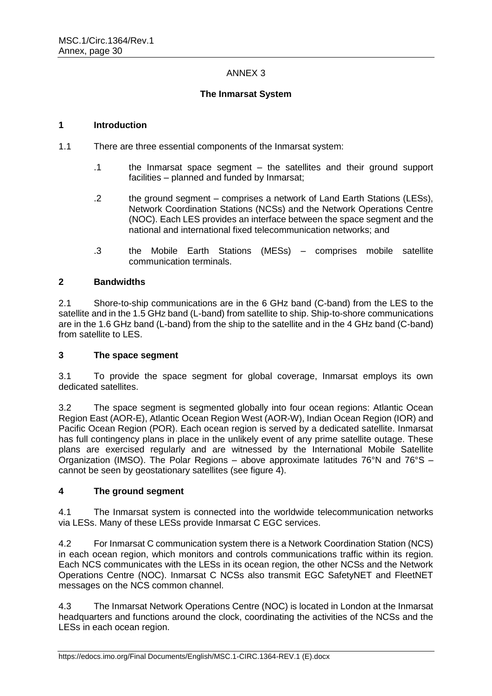# ANNEX 3

# **The Inmarsat System**

#### **1 Introduction**

- 1.1 There are three essential components of the Inmarsat system:
	- .1 the Inmarsat space segment the satellites and their ground support facilities – planned and funded by Inmarsat;
	- .2 the ground segment comprises a network of Land Earth Stations (LESs), Network Coordination Stations (NCSs) and the Network Operations Centre (NOC). Each LES provides an interface between the space segment and the national and international fixed telecommunication networks; and
	- .3 the Mobile Earth Stations (MESs) comprises mobile satellite communication terminals.

# **2 Bandwidths**

2.1 Shore-to-ship communications are in the 6 GHz band (C-band) from the LES to the satellite and in the 1.5 GHz band (L-band) from satellite to ship. Ship-to-shore communications are in the 1.6 GHz band (L-band) from the ship to the satellite and in the 4 GHz band (C-band) from satellite to LES.

# **3 The space segment**

3.1 To provide the space segment for global coverage, Inmarsat employs its own dedicated satellites.

3.2 The space segment is segmented globally into four ocean regions: Atlantic Ocean Region East (AOR-E), Atlantic Ocean Region West (AOR-W), Indian Ocean Region (IOR) and Pacific Ocean Region (POR). Each ocean region is served by a dedicated satellite. Inmarsat has full contingency plans in place in the unlikely event of any prime satellite outage. These plans are exercised regularly and are witnessed by the International Mobile Satellite Organization (IMSO). The Polar Regions – above approximate latitudes 76°N and 76°S – cannot be seen by geostationary satellites (see figure 4).

# **4 The ground segment**

4.1 The Inmarsat system is connected into the worldwide telecommunication networks via LESs. Many of these LESs provide Inmarsat C EGC services.

4.2 For Inmarsat C communication system there is a Network Coordination Station (NCS) in each ocean region, which monitors and controls communications traffic within its region. Each NCS communicates with the LESs in its ocean region, the other NCSs and the Network Operations Centre (NOC). Inmarsat C NCSs also transmit EGC SafetyNET and FleetNET messages on the NCS common channel.

4.3 The Inmarsat Network Operations Centre (NOC) is located in London at the Inmarsat headquarters and functions around the clock, coordinating the activities of the NCSs and the LESs in each ocean region.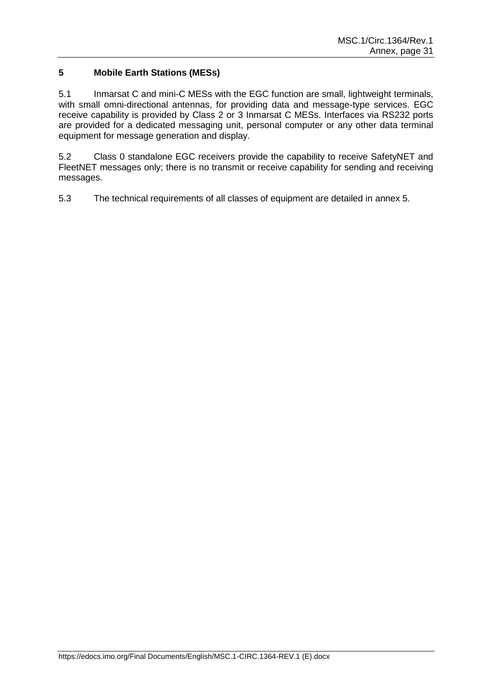# **5 Mobile Earth Stations (MESs)**

5.1 Inmarsat C and mini-C MESs with the EGC function are small, lightweight terminals, with small omni-directional antennas, for providing data and message-type services. EGC receive capability is provided by Class 2 or 3 Inmarsat C MESs. Interfaces via RS232 ports are provided for a dedicated messaging unit, personal computer or any other data terminal equipment for message generation and display.

5.2 Class 0 standalone EGC receivers provide the capability to receive SafetyNET and FleetNET messages only; there is no transmit or receive capability for sending and receiving messages.

5.3 The technical requirements of all classes of equipment are detailed in annex 5.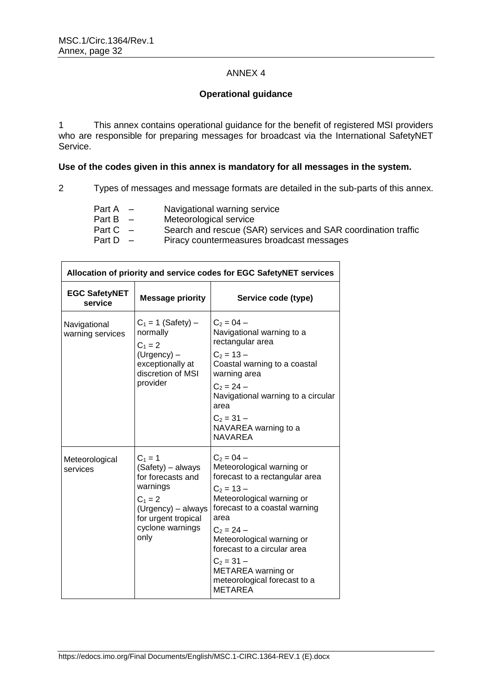$\Gamma$ 

# ANNEX 4

# **Operational guidance**

1 This annex contains operational guidance for the benefit of registered MSI providers who are responsible for preparing messages for broadcast via the International SafetyNET Service.

# **Use of the codes given in this annex is mandatory for all messages in the system.**

2 Types of messages and message formats are detailed in the sub-parts of this annex.

٦

| Part A     | $\sim$ | Navigational warning service                                  |
|------------|--------|---------------------------------------------------------------|
| Part B $-$ |        | Meteorological service                                        |
| Part $C -$ |        | Search and rescue (SAR) services and SAR coordination traffic |
| Part D $-$ |        | Piracy countermeasures broadcast messages                     |
|            |        |                                                               |

|                                  | Allocation of priority and service codes for EGC SafetyNET services                                                                                   |                                                                                                                                                                                                                                                                                                                                       |  |  |  |  |
|----------------------------------|-------------------------------------------------------------------------------------------------------------------------------------------------------|---------------------------------------------------------------------------------------------------------------------------------------------------------------------------------------------------------------------------------------------------------------------------------------------------------------------------------------|--|--|--|--|
| <b>EGC SafetyNET</b><br>service  | <b>Message priority</b>                                                                                                                               | Service code (type)                                                                                                                                                                                                                                                                                                                   |  |  |  |  |
| Navigational<br>warning services | $C_1 = 1$ (Safety) –<br>normally<br>$C_1 = 2$<br>(Urgency) -<br>exceptionally at<br>discretion of MSI<br>provider                                     | $C_2 = 04 -$<br>Navigational warning to a<br>rectangular area<br>$C_2 = 13 -$<br>Coastal warning to a coastal<br>warning area<br>$C_2 = 24 -$<br>Navigational warning to a circular<br>area<br>$C_2 = 31 -$<br>NAVAREA warning to a<br><b>NAVAREA</b>                                                                                 |  |  |  |  |
| Meteorological<br>services       | $C_1 = 1$<br>(Safety) – always<br>for forecasts and<br>warnings<br>$C_1 = 2$<br>(Urgency) - always<br>for urgent tropical<br>cyclone warnings<br>only | $C_2 = 04 -$<br>Meteorological warning or<br>forecast to a rectangular area<br>$C_2 = 13 -$<br>Meteorological warning or<br>forecast to a coastal warning<br>area<br>$C_2 = 24 -$<br>Meteorological warning or<br>forecast to a circular area<br>$C_2 = 31 -$<br>METAREA warning or<br>meteorological forecast to a<br><b>METAREA</b> |  |  |  |  |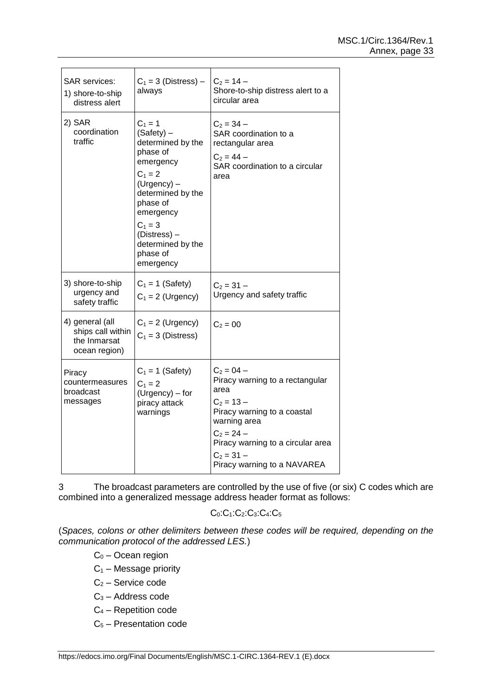| <b>SAR</b> services:<br>1) shore-to-ship<br>distress alert            | $C_1 = 3$ (Distress) –<br>always                                                                                                                                                                                           | $C_2 = 14 -$<br>Shore-to-ship distress alert to a<br>circular area                                                                                                                                                         |
|-----------------------------------------------------------------------|----------------------------------------------------------------------------------------------------------------------------------------------------------------------------------------------------------------------------|----------------------------------------------------------------------------------------------------------------------------------------------------------------------------------------------------------------------------|
| 2) SAR<br>coordination<br>traffic                                     | $C_1 = 1$<br>(Safety) -<br>determined by the<br>phase of<br>emergency<br>$C_1 = 2$<br>(Urgency) -<br>determined by the<br>phase of<br>emergency<br>$C_1 = 3$<br>(Distress) -<br>determined by the<br>phase of<br>emergency | $C_2 = 34 -$<br>SAR coordination to a<br>rectangular area<br>$C_2 = 44 -$<br>SAR coordination to a circular<br>area                                                                                                        |
| 3) shore-to-ship<br>urgency and<br>safety traffic                     | $C_1 = 1$ (Safety)<br>$C_1 = 2$ (Urgency)                                                                                                                                                                                  | $C_2 = 31 -$<br>Urgency and safety traffic                                                                                                                                                                                 |
| 4) general (all<br>ships call within<br>the Inmarsat<br>ocean region) | $C_1 = 2$ (Urgency)<br>$C_1 = 3$ (Distress)                                                                                                                                                                                | $C_2 = 00$                                                                                                                                                                                                                 |
| Piracy<br>countermeasures<br>broadcast<br>messages                    | $C_1 = 1$ (Safety)<br>$C_1 = 2$<br>(Urgency) – for<br>piracy attack<br>warnings                                                                                                                                            | $C_2 = 04 -$<br>Piracy warning to a rectangular<br>area<br>$C_2 = 13 -$<br>Piracy warning to a coastal<br>warning area<br>$C_2 = 24 -$<br>Piracy warning to a circular area<br>$C_2 = 31 -$<br>Piracy warning to a NAVAREA |

3 The broadcast parameters are controlled by the use of five (or six) C codes which are combined into a generalized message address header format as follows:

C0:C1:C2:C3:C4:C<sup>5</sup>

(*Spaces, colons or other delimiters between these codes will be required, depending on the communication protocol of the addressed LES.*)

 $C_0$  – Ocean region

- $C_1$  Message priority
- C<sup>2</sup> Service code
- C<sup>3</sup> Address code
- C<sup>4</sup> Repetition code
- C<sup>5</sup> Presentation code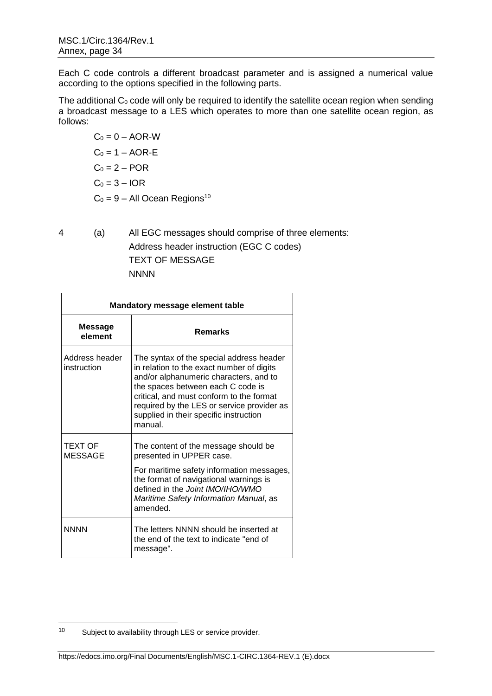Each C code controls a different broadcast parameter and is assigned a numerical value according to the options specified in the following parts.

The additional  $C_0$  code will only be required to identify the satellite ocean region when sending a broadcast message to a LES which operates to more than one satellite ocean region, as follows:

 $C_0 = 0 - AOR-W$  $C_0 = 1 - AOR - E$  $C_0 = 2 - POR$  $C_0 = 3 - IOR$  $C_0 = 9 - All Ocean Regions<sup>10</sup>$ 

4 (a) All EGC messages should comprise of three elements: Address header instruction (EGC C codes) TEXT OF MESSAGE **NNNN** 

| <b>Mandatory message element table</b> |                                                                                                                                                                                                                                                                                                                     |
|----------------------------------------|---------------------------------------------------------------------------------------------------------------------------------------------------------------------------------------------------------------------------------------------------------------------------------------------------------------------|
| <b>Message</b><br>element              | <b>Remarks</b>                                                                                                                                                                                                                                                                                                      |
| Address header<br>instruction          | The syntax of the special address header<br>in relation to the exact number of digits<br>and/or alphanumeric characters, and to<br>the spaces between each C code is<br>critical, and must conform to the format<br>required by the LES or service provider as<br>supplied in their specific instruction<br>manual. |
| <b>TEXT OF</b><br><b>MESSAGE</b>       | The content of the message should be<br>presented in UPPER case.                                                                                                                                                                                                                                                    |
|                                        | For maritime safety information messages,<br>the format of navigational warnings is<br>defined in the Joint IMO/IHO/WMO<br>Maritime Safety Information Manual, as<br>amended.                                                                                                                                       |
| <b>NNNN</b>                            | The letters NNNN should be inserted at<br>the end of the text to indicate "end of<br>message".                                                                                                                                                                                                                      |

 $10<sup>10</sup>$ Subject to availability through LES or service provider.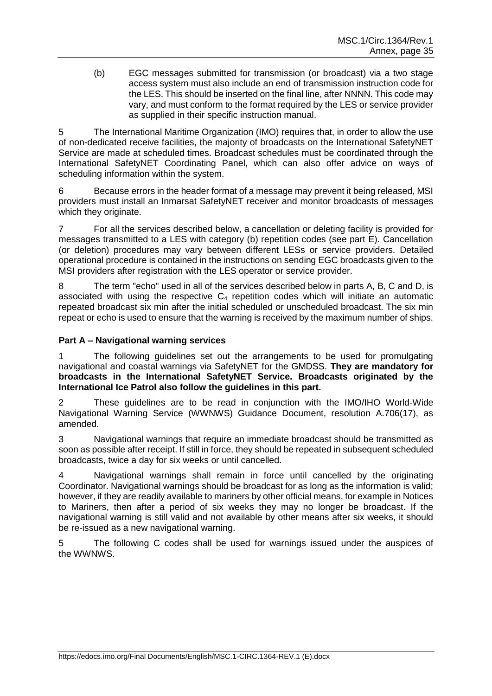(b) EGC messages submitted for transmission (or broadcast) via a two stage access system must also include an end of transmission instruction code for the LES. This should be inserted on the final line, after NNNN. This code may vary, and must conform to the format required by the LES or service provider as supplied in their specific instruction manual.

5 The International Maritime Organization (IMO) requires that, in order to allow the use of non-dedicated receive facilities, the majority of broadcasts on the International SafetyNET Service are made at scheduled times. Broadcast schedules must be coordinated through the International SafetyNET Coordinating Panel, which can also offer advice on ways of scheduling information within the system.

6 Because errors in the header format of a message may prevent it being released, MSI providers must install an Inmarsat SafetyNET receiver and monitor broadcasts of messages which they originate.

7 For all the services described below, a cancellation or deleting facility is provided for messages transmitted to a LES with category (b) repetition codes (see part E). Cancellation (or deletion) procedures may vary between different LESs or service providers. Detailed operational procedure is contained in the instructions on sending EGC broadcasts given to the MSI providers after registration with the LES operator or service provider.

8 The term "echo" used in all of the services described below in parts A, B, C and D, is associated with using the respective  $C_4$  repetition codes which will initiate an automatic repeated broadcast six min after the initial scheduled or unscheduled broadcast. The six min repeat or echo is used to ensure that the warning is received by the maximum number of ships.

# **Part A – Navigational warning services**

1 The following guidelines set out the arrangements to be used for promulgating navigational and coastal warnings via SafetyNET for the GMDSS. **They are mandatory for broadcasts in the International SafetyNET Service. Broadcasts originated by the International Ice Patrol also follow the guidelines in this part.**

2 These guidelines are to be read in conjunction with the IMO/IHO World-Wide Navigational Warning Service (WWNWS) Guidance Document, resolution A.706(17), as amended.

3 Navigational warnings that require an immediate broadcast should be transmitted as soon as possible after receipt. If still in force, they should be repeated in subsequent scheduled broadcasts, twice a day for six weeks or until cancelled.

4 Navigational warnings shall remain in force until cancelled by the originating Coordinator. Navigational warnings should be broadcast for as long as the information is valid; however, if they are readily available to mariners by other official means, for example in Notices to Mariners, then after a period of six weeks they may no longer be broadcast. If the navigational warning is still valid and not available by other means after six weeks, it should be re-issued as a new navigational warning.

5 The following C codes shall be used for warnings issued under the auspices of the WWNWS.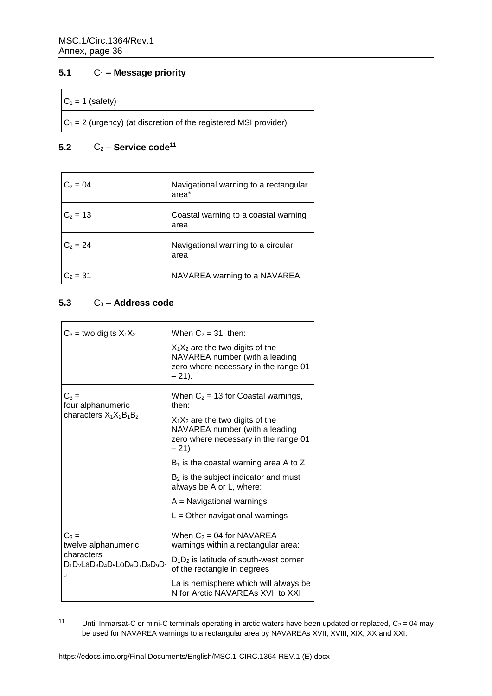# **5.1** C<sup>1</sup> **– Message priority**

#### $C_1 = 1$  (safety)

 $|C_1 = 2$  (urgency) (at discretion of the registered MSI provider)

# **5.2** C<sup>2</sup> **– Service code<sup>11</sup>**

| $C_2 = 04$ | Navigational warning to a rectangular<br>area* |
|------------|------------------------------------------------|
| $C_2 = 13$ | Coastal warning to a coastal warning<br>area   |
| $C_2 = 24$ | Navigational warning to a circular<br>area     |
| $C_2 = 31$ | NAVAREA warning to a NAVAREA                   |

# **5.3** C<sup>3</sup> **– Address code**

| $C_3$ = two digits $X_1X_2$                             | When $C_2 = 31$ , then:                                                                                                  |
|---------------------------------------------------------|--------------------------------------------------------------------------------------------------------------------------|
|                                                         | $X_1X_2$ are the two digits of the<br>NAVAREA number (with a leading<br>zero where necessary in the range 01<br>$-21$ ). |
| $C_3 =$<br>four alphanumeric                            | When $C_2$ = 13 for Coastal warnings,<br>then:                                                                           |
| characters $X_1X_2B_1B_2$                               | $X_1X_2$ are the two digits of the<br>NAVAREA number (with a leading<br>zero where necessary in the range 01<br>- 21)    |
|                                                         | $B_1$ is the coastal warning area A to Z                                                                                 |
|                                                         | $B2$ is the subject indicator and must<br>always be A or L, where:                                                       |
|                                                         | $A =$ Navigational warnings                                                                                              |
|                                                         | $L =$ Other navigational warnings                                                                                        |
| $C_3 =$<br>twelve alphanumeric                          | When $C_2$ = 04 for NAVAREA<br>warnings within a rectangular area:                                                       |
| characters<br>$D_1D_2LaD_3D_4D_5LoD_6D_7D_8D_9D_1$<br>0 | $D_1D_2$ is latitude of south-west corner<br>of the rectangle in degrees                                                 |
|                                                         | La is hemisphere which will always be<br>N for Arctic NAVAREAs XVII to XXI                                               |

 $11$ Until Inmarsat-C or mini-C terminals operating in arctic waters have been updated or replaced,  $C_2 = 04$  may be used for NAVAREA warnings to a rectangular area by NAVAREAs XVII, XVIII, XIX, XX and XXI.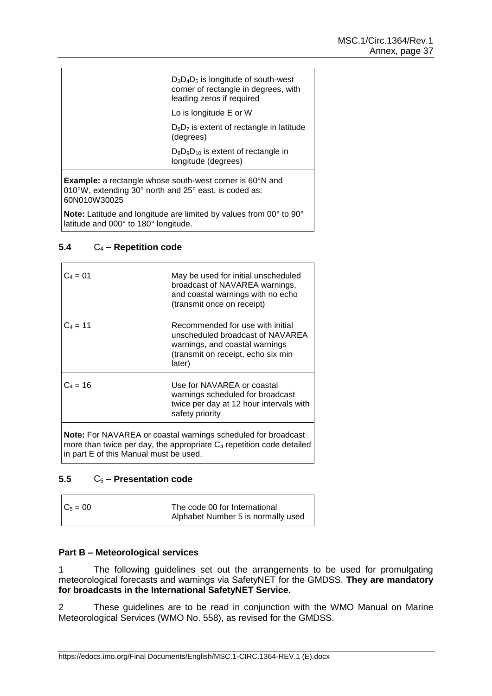| $D_3D_4D_5$ is longitude of south-west<br>corner of rectangle in degrees, with<br>leading zeros if required<br>Lo is longitude E or W |
|---------------------------------------------------------------------------------------------------------------------------------------|
| $D_6D_7$ is extent of rectangle in latitude<br>(degrees)                                                                              |
| $D_8D_9D_{10}$ is extent of rectangle in<br>longitude (degrees)                                                                       |
|                                                                                                                                       |

**Example:** a rectangle whose south-west corner is 60<sup>°</sup>N and 010°W, extending 30° north and 25° east, is coded as: 60N010W30025

**Note:** Latitude and longitude are limited by values from 00° to 90° latitude and 000° to 180° longitude.

# **5.4** C<sup>4</sup> **– Repetition code**

| $C_4 = 01$                             | May be used for initial unscheduled<br>broadcast of NAVAREA warnings,<br>and coastal warnings with no echo<br>(transmit once on receipt)               |
|----------------------------------------|--------------------------------------------------------------------------------------------------------------------------------------------------------|
| $C_4 = 11$                             | Recommended for use with initial<br>unscheduled broadcast of NAVAREA<br>warnings, and coastal warnings<br>(transmit on receipt, echo six min<br>later) |
| $C_4 = 16$                             | Use for NAVAREA or coastal<br>warnings scheduled for broadcast<br>twice per day at 12 hour intervals with<br>safety priority                           |
| in part E of this Manual must be used. | <b>Note:</b> For NAVAREA or coastal warnings scheduled for broadcast<br>more than twice per day, the appropriate $C_4$ repetition code detailed        |

# **5.5** C<sup>5</sup> **– Presentation code**

| $C_5 = 00$ | The code 00 for International      |
|------------|------------------------------------|
|            | Alphabet Number 5 is normally used |
|            |                                    |

# **Part B – Meteorological services**

1 The following guidelines set out the arrangements to be used for promulgating meteorological forecasts and warnings via SafetyNET for the GMDSS. **They are mandatory for broadcasts in the International SafetyNET Service.**

2 These guidelines are to be read in conjunction with the WMO Manual on Marine Meteorological Services (WMO No. 558), as revised for the GMDSS.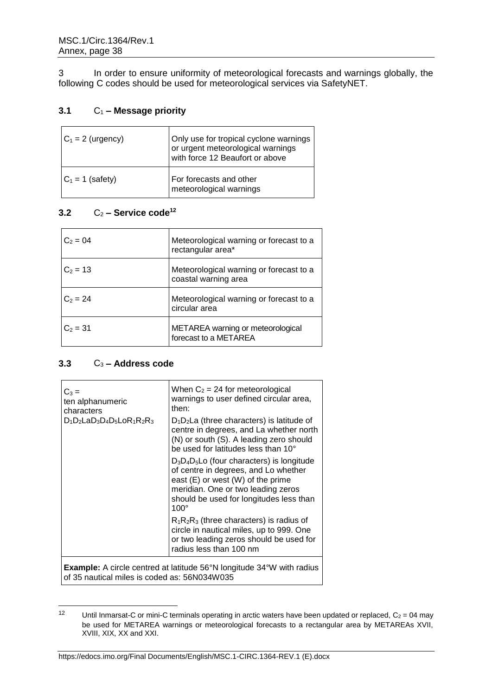3 In order to ensure uniformity of meteorological forecasts and warnings globally, the following C codes should be used for meteorological services via SafetyNET.

# **3.1** C<sup>1</sup> **– Message priority**

| $C_1 = 2$ (urgency) | Only use for tropical cyclone warnings<br>or urgent meteorological warnings<br>with force 12 Beaufort or above |
|---------------------|----------------------------------------------------------------------------------------------------------------|
| $C_1 = 1$ (safety)  | For forecasts and other<br>meteorological warnings                                                             |

# $3.2$   $C_2$  – **Service code**<sup>12</sup>

| $C_2 = 04$ | Meteorological warning or forecast to a<br>rectangular area*    |
|------------|-----------------------------------------------------------------|
| $C_2 = 13$ | Meteorological warning or forecast to a<br>coastal warning area |
| $C_2 = 24$ | Meteorological warning or forecast to a<br>circular area        |
| $C_2 = 31$ | METAREA warning or meteorological<br>forecast to a METAREA      |

# **3.3** C<sup>3</sup> **– Address code**

| $C_3 =$<br>ten alphanumeric<br>characters | When $C_2$ = 24 for meteorological<br>warnings to user defined circular area,<br>then:                                                                                                                                         |
|-------------------------------------------|--------------------------------------------------------------------------------------------------------------------------------------------------------------------------------------------------------------------------------|
| $D_1D_2$ La $D_3D_4D_5$ Lo $R_1R_2R_3$    | $D_1D_2$ La (three characters) is latitude of<br>centre in degrees, and La whether north<br>(N) or south (S). A leading zero should<br>be used for latitudes less than 10°                                                     |
|                                           | $D_3D_4D_5$ Lo (four characters) is longitude<br>of centre in degrees, and Lo whether<br>east $(E)$ or west $(W)$ of the prime<br>meridian. One or two leading zeros<br>should be used for longitudes less than<br>$100^\circ$ |
|                                           | $R_1R_2R_3$ (three characters) is radius of<br>circle in nautical miles, up to 999. One<br>or two leading zeros should be used for<br>radius less than 100 nm                                                                  |
|                                           | <b>Example:</b> A circle centred at latitude 56°N longitude 34°W with radius                                                                                                                                                   |

of 35 nautical miles is coded as: 56N034W035

 $12$ Until Inmarsat-C or mini-C terminals operating in arctic waters have been updated or replaced,  $C_2 = 04$  may be used for METAREA warnings or meteorological forecasts to a rectangular area by METAREAs XVII, XVIII, XIX, XX and XXI.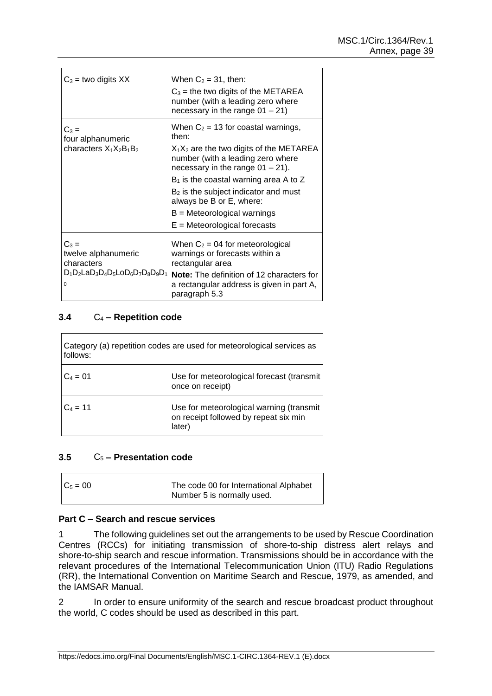| $C_3$ = two digits XX                                                                            | When $C_2 = 31$ , then:<br>$C_3$ = the two digits of the METAREA<br>number (with a leading zero where<br>necessary in the range $01 - 21$ )                                                                |
|--------------------------------------------------------------------------------------------------|------------------------------------------------------------------------------------------------------------------------------------------------------------------------------------------------------------|
| $C_3 =$<br>four alphanumeric<br>characters $X_1X_2B_1B_2$                                        | When $C_2$ = 13 for coastal warnings,<br>then:<br>$X_1X_2$ are the two digits of the METAREA<br>number (with a leading zero where<br>necessary in the range $01 - 21$ ).                                   |
|                                                                                                  | $B_1$ is the coastal warning area A to Z<br>$B2$ is the subject indicator and must<br>always be B or E, where:<br>$B =$ Meteorological warnings<br>$E =$ Meteorological forecasts                          |
| $C_3 =$<br>twelve alphanumeric<br>characters<br>$D_1D_2LaD_3D_4D_5LoD_6D_7D_8D_9D_1$<br>$\Omega$ | When $C_2$ = 04 for meteorological<br>warnings or forecasts within a<br>rectangular area<br><b>Note:</b> The definition of 12 characters for<br>a rectangular address is given in part A,<br>paragraph 5.3 |

# **3.4** C<sup>4</sup> **– Repetition code**

 $\mathsf{r}$ 

 $\blacksquare$ 

| Category (a) repetition codes are used for meteorological services as<br>follows: |                                                                                             |
|-----------------------------------------------------------------------------------|---------------------------------------------------------------------------------------------|
| $C_4 = 01$                                                                        | Use for meteorological forecast (transmit)<br>once on receipt)                              |
| $C_4 = 11$                                                                        | Use for meteorological warning (transmit<br>on receipt followed by repeat six min<br>later) |

# **3.5** C<sup>5</sup> **– Presentation code**

| $C_5 = 00$ | The code 00 for International Alphabet |
|------------|----------------------------------------|
|            | Number 5 is normally used.             |

#### **Part C – Search and rescue services**

1 The following guidelines set out the arrangements to be used by Rescue Coordination Centres (RCCs) for initiating transmission of shore-to-ship distress alert relays and shore-to-ship search and rescue information. Transmissions should be in accordance with the relevant procedures of the International Telecommunication Union (ITU) Radio Regulations (RR), the International Convention on Maritime Search and Rescue, 1979, as amended, and the IAMSAR Manual.

2 In order to ensure uniformity of the search and rescue broadcast product throughout the world, C codes should be used as described in this part.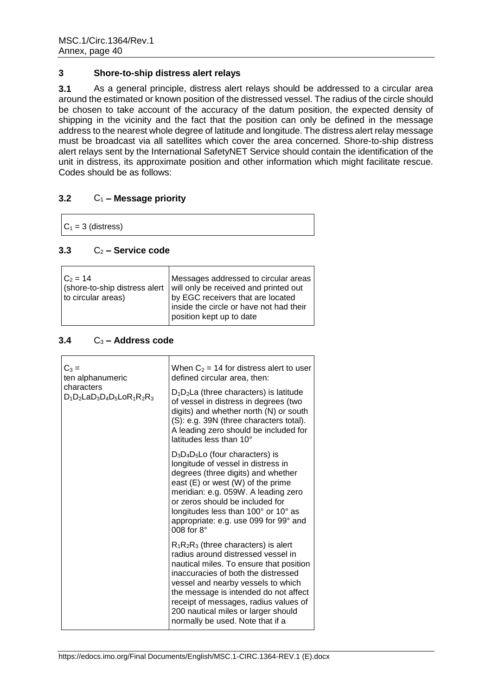#### **3 Shore-to-ship distress alert relays**

**3.1** As a general principle, distress alert relays should be addressed to a circular area around the estimated or known position of the distressed vessel. The radius of the circle should be chosen to take account of the accuracy of the datum position, the expected density of shipping in the vicinity and the fact that the position can only be defined in the message address to the nearest whole degree of latitude and longitude. The distress alert relay message must be broadcast via all satellites which cover the area concerned. Shore-to-ship distress alert relays sent by the International SafetyNET Service should contain the identification of the unit in distress, its approximate position and other information which might facilitate rescue. Codes should be as follows:

# **3.2** C<sup>1</sup> **– Message priority**

 $C_1 = 3$  (distress)

# $3.3$   $C_2$  **– Service code**

| $C_2 = 14$         |                                                                     |
|--------------------|---------------------------------------------------------------------|
|                    | Messages addressed to circular areas                                |
|                    | (shore-to-ship distress alert will only be received and printed out |
| to circular areas) | by EGC receivers that are located                                   |
|                    | inside the circle or have not had their<br>position kept up to date |
|                    |                                                                     |

# **3.4** C<sup>3</sup> **– Address code**

| $C_3 =$<br>ten alphanumeric                          | When $C_2$ = 14 for distress alert to user<br>defined circular area, then:                                                                                                                                                                                                                                                                                         |
|------------------------------------------------------|--------------------------------------------------------------------------------------------------------------------------------------------------------------------------------------------------------------------------------------------------------------------------------------------------------------------------------------------------------------------|
| characters<br>$D_1D_2$ La $D_3D_4D_5$ Lo $R_1R_2R_3$ | $D_1D_2$ La (three characters) is latitude<br>of vessel in distress in degrees (two<br>digits) and whether north (N) or south<br>(S): e.g. 39N (three characters total).<br>A leading zero should be included for<br>latitudes less than 10°                                                                                                                       |
|                                                      | $D_3D_4D_5$ Lo (four characters) is<br>longitude of vessel in distress in<br>degrees (three digits) and whether<br>east (E) or west (W) of the prime<br>meridian: e.g. 059W. A leading zero<br>or zeros should be included for<br>longitudes less than 100° or 10° as<br>appropriate: e.g. use 099 for 99° and<br>008 for $8^\circ$                                |
|                                                      | $R_1R_2R_3$ (three characters) is alert<br>radius around distressed vessel in<br>nautical miles. To ensure that position<br>inaccuracies of both the distressed<br>vessel and nearby vessels to which<br>the message is intended do not affect<br>receipt of messages, radius values of<br>200 nautical miles or larger should<br>normally be used. Note that if a |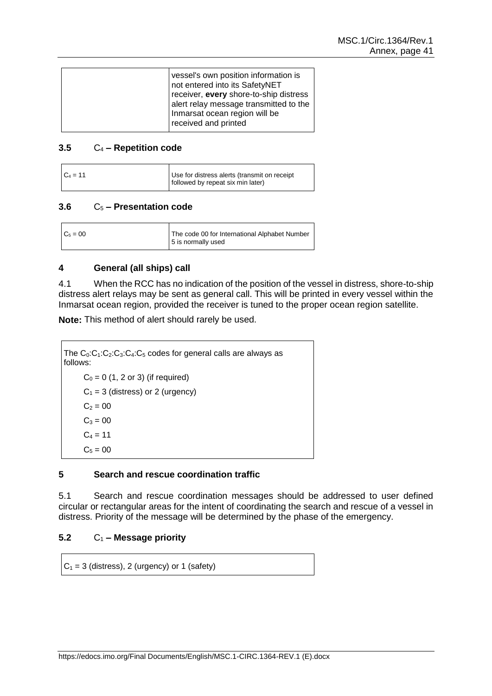#### **3.5** C<sup>4</sup> **– Repetition code**

| $C_4 = 11$ | Use for distress alerts (transmit on receipt<br>followed by repeat six min later) |
|------------|-----------------------------------------------------------------------------------|
|            |                                                                                   |

#### **3.6** C<sup>5</sup> **– Presentation code**

| The code 00 for International Alphabet Number<br>5 is normally used |
|---------------------------------------------------------------------|
|                                                                     |

# **4 General (all ships) call**

4.1 When the RCC has no indication of the position of the vessel in distress, shore-to-ship distress alert relays may be sent as general call. This will be printed in every vessel within the Inmarsat ocean region, provided the receiver is tuned to the proper ocean region satellite.

**Note:** This method of alert should rarely be used.

```
The C_0:C_1:C_2:C_3:C_4:C_5 codes for general calls are always as
follows:
     C_0 = 0 (1, 2 or 3) (if required)
     C_1 = 3 (distress) or 2 (urgency)
     C_2 = 00C_3 = 00C_4 = 11C_5 = 00
```
# **5 Search and rescue coordination traffic**

5.1 Search and rescue coordination messages should be addressed to user defined circular or rectangular areas for the intent of coordinating the search and rescue of a vessel in distress. Priority of the message will be determined by the phase of the emergency.

# **5.2** C<sup>1</sup> **– Message priority**

 $C_1 = 3$  (distress), 2 (urgency) or 1 (safety)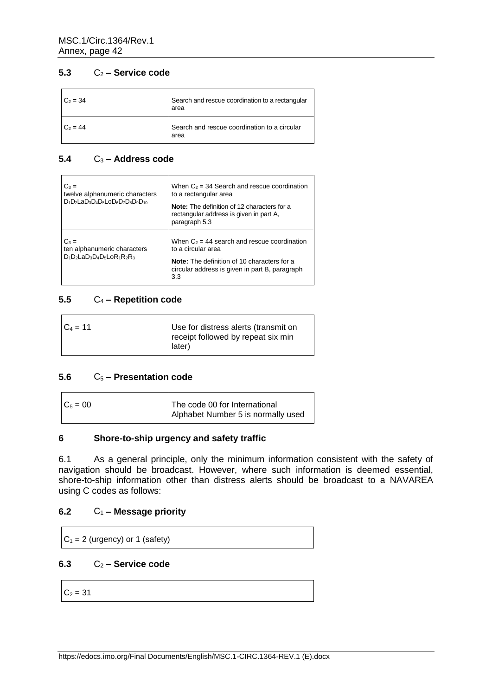# **5.3** C<sup>2</sup> **– Service code**

| $C_2 = 34$ | Search and rescue coordination to a rectangular<br>area |
|------------|---------------------------------------------------------|
| $C_2 = 44$ | Search and rescue coordination to a circular<br>area    |

# **5.4** C<sup>3</sup> **– Address code**

| $C_3 =$<br>twelve alphanumeric characters<br>$D_1D_2LaD_3D_4D_5LoD_6D_7D_8D_9D_{10}$ | When $C_2$ = 34 Search and rescue coordination<br>to a rectangular area<br>Note: The definition of 12 characters for a<br>rectangular address is given in part A.<br>paragraph 5.3 |
|--------------------------------------------------------------------------------------|------------------------------------------------------------------------------------------------------------------------------------------------------------------------------------|
| $C_3 =$<br>ten alphanumeric characters<br>$D_1D_2LaD_3D_4D_5LoR_1R_2R_3$             | When $C_2$ = 44 search and rescue coordination<br>to a circular area<br>Note: The definition of 10 characters for a<br>circular address is given in part B, paragraph<br>3.3       |

# **5.5** C<sup>4</sup> **– Repetition code**

 $\mathbf{r}$ 

| $C_4 = 11$ | Use for distress alerts (transmit on<br>receipt followed by repeat six min |
|------------|----------------------------------------------------------------------------|
|            | later)                                                                     |

# **5.6** C<sup>5</sup> **– Presentation code**

| $C_5 = 00$ | The code 00 for International      |
|------------|------------------------------------|
|            | Alphabet Number 5 is normally used |

#### **6 Shore-to-ship urgency and safety traffic**

6.1 As a general principle, only the minimum information consistent with the safety of navigation should be broadcast. However, where such information is deemed essential, shore-to-ship information other than distress alerts should be broadcast to a NAVAREA using C codes as follows:

# **6.2** C<sup>1</sup> **– Message priority**

 $C_1 = 2$  (urgency) or 1 (safety)

# **6.3** C<sup>2</sup> **– Service code**

 $C_2 = 31$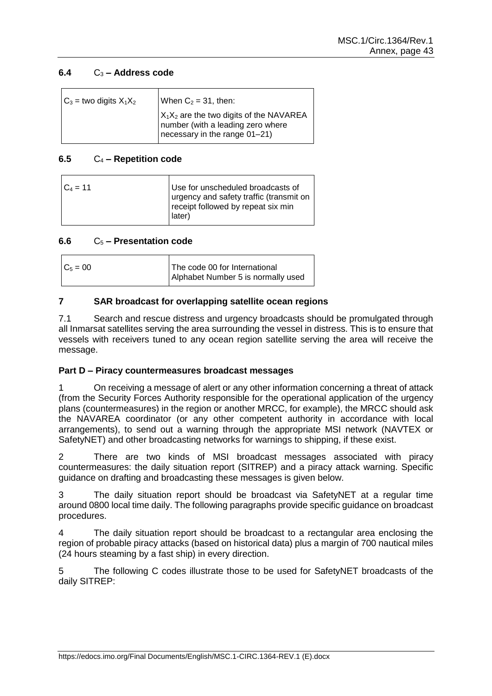# **6.4** C<sup>3</sup> **– Address code**

| $C_3$ = two digits $X_1X_2$ | When $C_2 = 31$ , then:                                                                                          |
|-----------------------------|------------------------------------------------------------------------------------------------------------------|
|                             | $X_1X_2$ are the two digits of the NAVAREA<br>number (with a leading zero where<br>necessary in the range 01-21) |

# **6.5** C<sup>4</sup> **– Repetition code**

| Use for unscheduled broadcasts of<br>urgency and safety traffic (transmit on |
|------------------------------------------------------------------------------|
| receipt followed by repeat six min<br>later)                                 |
|                                                                              |

# **6.6** C<sup>5</sup> **– Presentation code**

| $C_5 = 00$ | The code 00 for International      |
|------------|------------------------------------|
|            | Alphabet Number 5 is normally used |

# **7 SAR broadcast for overlapping satellite ocean regions**

7.1 Search and rescue distress and urgency broadcasts should be promulgated through all Inmarsat satellites serving the area surrounding the vessel in distress. This is to ensure that vessels with receivers tuned to any ocean region satellite serving the area will receive the message.

# **Part D – Piracy countermeasures broadcast messages**

1 On receiving a message of alert or any other information concerning a threat of attack (from the Security Forces Authority responsible for the operational application of the urgency plans (countermeasures) in the region or another MRCC, for example), the MRCC should ask the NAVAREA coordinator (or any other competent authority in accordance with local arrangements), to send out a warning through the appropriate MSI network (NAVTEX or SafetyNET) and other broadcasting networks for warnings to shipping, if these exist.

2 There are two kinds of MSI broadcast messages associated with piracy countermeasures: the daily situation report (SITREP) and a piracy attack warning. Specific guidance on drafting and broadcasting these messages is given below.

3 The daily situation report should be broadcast via SafetyNET at a regular time around 0800 local time daily. The following paragraphs provide specific guidance on broadcast procedures.

4 The daily situation report should be broadcast to a rectangular area enclosing the region of probable piracy attacks (based on historical data) plus a margin of 700 nautical miles (24 hours steaming by a fast ship) in every direction.

5 The following C codes illustrate those to be used for SafetyNET broadcasts of the daily SITREP: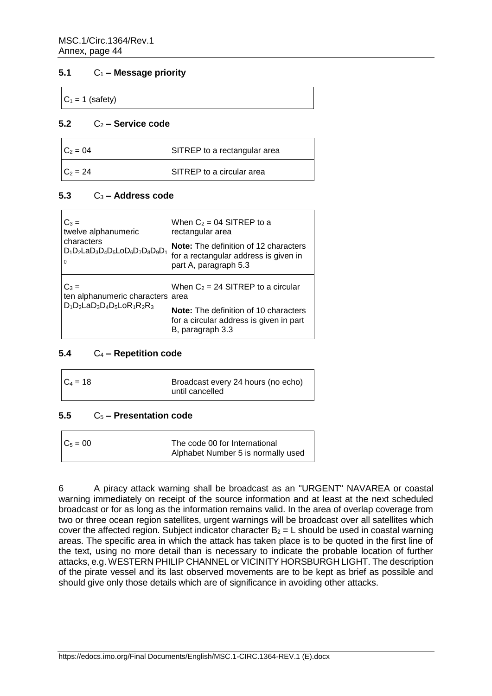# **5.1** C<sup>1</sup> **– Message priority**

 $C_1 = 1$  (safety)

#### **5.2** C<sup>2</sup> **– Service code**

| $C_2 = 04$ | SITREP to a rectangular area |
|------------|------------------------------|
| $C_2 = 24$ | SITREP to a circular area    |

# **5.3** C<sup>3</sup> **– Address code**

|                                                                               | $C_3 =$<br>twelve alphanumeric<br>characters<br>$D_1D_2$ La $D_3D_4D_5$ Lo $D_6D_7D_8D_9D_1$<br>$\Omega$ | When $C_2 = 04$ SITREP to a<br>rectangular area                                                         |
|-------------------------------------------------------------------------------|----------------------------------------------------------------------------------------------------------|---------------------------------------------------------------------------------------------------------|
|                                                                               |                                                                                                          | Note: The definition of 12 characters<br>for a rectangular address is given in<br>part A, paragraph 5.3 |
| $C_3 =$<br>ten alphanumeric characters area<br>$D_1D_2LaD_3D_4D_5LoR_1R_2R_3$ | When $C_2 = 24$ SITREP to a circular                                                                     |                                                                                                         |
|                                                                               |                                                                                                          | Note: The definition of 10 characters<br>for a circular address is given in part<br>B, paragraph 3.3    |

# **5.4** C<sup>4</sup> **– Repetition code**

| $C_4 = 18$ | Broadcast every 24 hours (no echo) |
|------------|------------------------------------|
|            | until cancelled                    |
|            |                                    |

# **5.5** C<sup>5</sup> **– Presentation code**

| $C_5 = 00$ | The code 00 for International      |
|------------|------------------------------------|
|            | Alphabet Number 5 is normally used |

6 A piracy attack warning shall be broadcast as an "URGENT" NAVAREA or coastal warning immediately on receipt of the source information and at least at the next scheduled broadcast or for as long as the information remains valid. In the area of overlap coverage from two or three ocean region satellites, urgent warnings will be broadcast over all satellites which cover the affected region. Subject indicator character  $B_2 = L$  should be used in coastal warning areas. The specific area in which the attack has taken place is to be quoted in the first line of the text, using no more detail than is necessary to indicate the probable location of further attacks, e.g. WESTERN PHILIP CHANNEL or VICINITY HORSBURGH LIGHT. The description of the pirate vessel and its last observed movements are to be kept as brief as possible and should give only those details which are of significance in avoiding other attacks.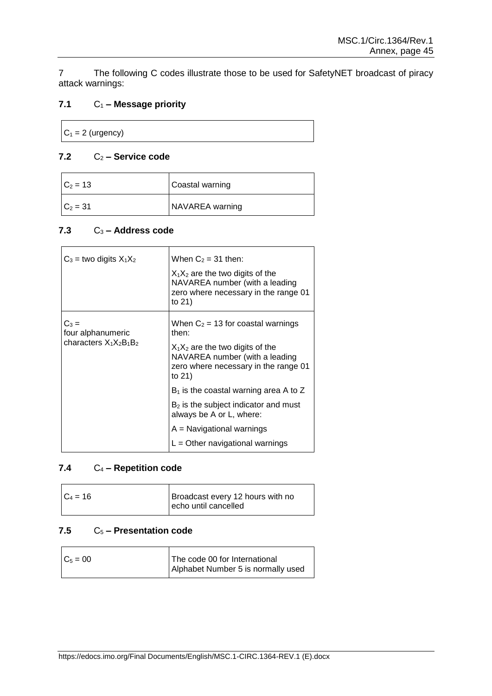7 The following C codes illustrate those to be used for SafetyNET broadcast of piracy attack warnings:

# **7.1** C<sup>1</sup> **– Message priority**

 $C_1 = 2$  (urgency)

# **7.2** C<sup>2</sup> **– Service code**

| $C_2 = 13$ | Coastal warning |
|------------|-----------------|
| $C_2 = 31$ | NAVAREA warning |

# **7.3** C<sup>3</sup> **– Address code**

| $C_3$ = two digits $X_1X_2$  | When $C_2 = 31$ then:                                                                                                  |
|------------------------------|------------------------------------------------------------------------------------------------------------------------|
|                              | $X_1X_2$ are the two digits of the<br>NAVAREA number (with a leading<br>zero where necessary in the range 01<br>to 21) |
| $C_3 =$<br>four alphanumeric | When $C_2$ = 13 for coastal warnings<br>then:                                                                          |
| characters $X_1X_2B_1B_2$    | $X_1X_2$ are the two digits of the<br>NAVAREA number (with a leading<br>zero where necessary in the range 01<br>to 21) |
|                              | $B_1$ is the coastal warning area A to Z                                                                               |
|                              | B <sub>2</sub> is the subject indicator and must<br>always be A or L, where:                                           |
|                              | $A =$ Navigational warnings                                                                                            |
|                              | $L =$ Other navigational warnings                                                                                      |

# **7.4** C<sup>4</sup> **– Repetition code**

| $C_4 = 16$ | Broadcast every 12 hours with no |
|------------|----------------------------------|
|            | echo until cancelled             |

# **7.5** C<sup>5</sup> **– Presentation code**

 $\mathbf{r}$ 

| $C_5 = 00$ | The code 00 for International      |
|------------|------------------------------------|
|            | Alphabet Number 5 is normally used |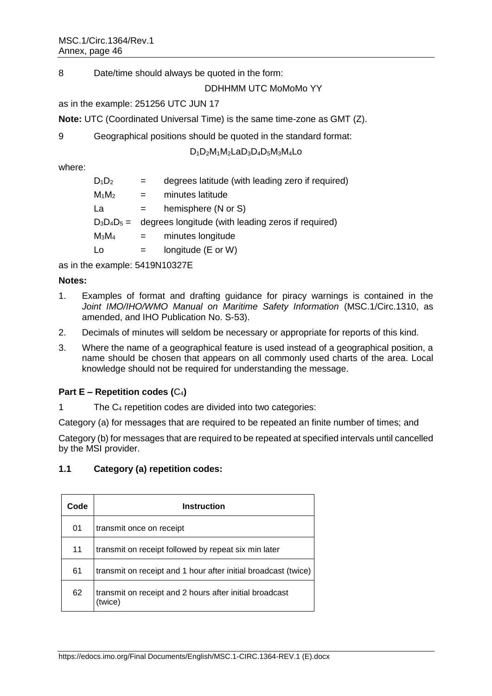8 Date/time should always be quoted in the form:

DDHHMM UTC MoMoMo YY

as in the example: 251256 UTC JUN 17

**Note:** UTC (Coordinated Universal Time) is the same time-zone as GMT (Z).

9 Geographical positions should be quoted in the standard format:

D1D2M1M2LaD3D4D5M3M4Lo

where:

| $D_1D_2$ | degrees latitude (with leading zero if required)                 |
|----------|------------------------------------------------------------------|
| $M_1M_2$ | minutes latitude<br>$=$                                          |
| La       | hemisphere (N or S)<br>$=$                                       |
|          | $D_3D_4D_5 =$ degrees longitude (with leading zeros if required) |
| $M_3M_4$ | minutes longitude<br>$=$                                         |
| Lo       | longitude (E or W)<br>$=$                                        |

as in the example: 5419N10327E

# **Notes:**

- 1. Examples of format and drafting guidance for piracy warnings is contained in the *Joint IMO/IHO/WMO Manual on Maritime Safety Information* (MSC.1/Circ.1310, as amended, and IHO Publication No. S-53).
- 2. Decimals of minutes will seldom be necessary or appropriate for reports of this kind.
- 3. Where the name of a geographical feature is used instead of a geographical position, a name should be chosen that appears on all commonly used charts of the area. Local knowledge should not be required for understanding the message.

# **Part E – Repetition codes (**C4**)**

1 The C<sup>4</sup> repetition codes are divided into two categories:

Category (a) for messages that are required to be repeated an finite number of times; and

Category (b) for messages that are required to be repeated at specified intervals until cancelled by the MSI provider.

# **1.1 Category (a) repetition codes:**

| Code | <b>Instruction</b>                                                |
|------|-------------------------------------------------------------------|
| 01   | transmit once on receipt                                          |
| 11   | transmit on receipt followed by repeat six min later              |
| 61   | transmit on receipt and 1 hour after initial broadcast (twice)    |
| 62   | transmit on receipt and 2 hours after initial broadcast<br>(twice |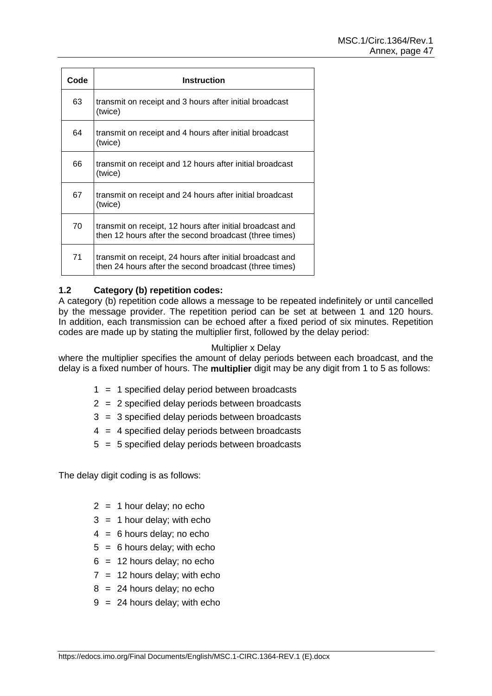| Code | <b>Instruction</b>                                                                                                  |
|------|---------------------------------------------------------------------------------------------------------------------|
| 63   | transmit on receipt and 3 hours after initial broadcast<br>(twice)                                                  |
| 64   | transmit on receipt and 4 hours after initial broadcast<br>(twice)                                                  |
| 66   | transmit on receipt and 12 hours after initial broadcast<br>(twice)                                                 |
| 67   | transmit on receipt and 24 hours after initial broadcast<br>(twice)                                                 |
| 70   | transmit on receipt, 12 hours after initial broadcast and<br>then 12 hours after the second broadcast (three times) |
| 71   | transmit on receipt, 24 hours after initial broadcast and<br>then 24 hours after the second broadcast (three times) |

# **1.2 Category (b) repetition codes:**

A category (b) repetition code allows a message to be repeated indefinitely or until cancelled by the message provider. The repetition period can be set at between 1 and 120 hours. In addition, each transmission can be echoed after a fixed period of six minutes. Repetition codes are made up by stating the multiplier first, followed by the delay period:

#### Multiplier x Delay

where the multiplier specifies the amount of delay periods between each broadcast, and the delay is a fixed number of hours. The **multiplier** digit may be any digit from 1 to 5 as follows:

- 1 = 1 specified delay period between broadcasts
- 2 = 2 specified delay periods between broadcasts
- 3 = 3 specified delay periods between broadcasts
- $4 = 4$  specified delay periods between broadcasts
- 5 = 5 specified delay periods between broadcasts

The delay digit coding is as follows:

- $2 = 1$  hour delay; no echo
- $3 = 1$  hour delay; with echo
- $4 = 6$  hours delay; no echo
- $5 = 6$  hours delay; with echo
- $6 = 12$  hours delay; no echo
- $7 = 12$  hours delay; with echo
- $8 = 24$  hours delay; no echo
- $9 = 24$  hours delay; with echo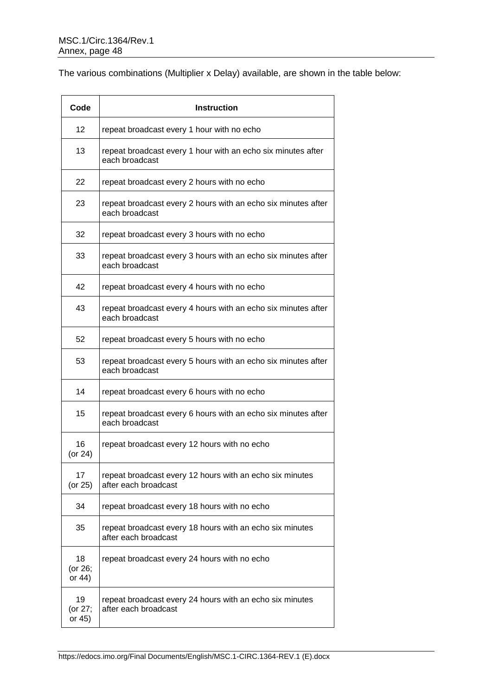The various combinations (Multiplier x Delay) available, are shown in the table below:

| Code                      | <b>Instruction</b>                                                               |
|---------------------------|----------------------------------------------------------------------------------|
| 12                        | repeat broadcast every 1 hour with no echo                                       |
| 13                        | repeat broadcast every 1 hour with an echo six minutes after<br>each broadcast   |
| 22                        | repeat broadcast every 2 hours with no echo                                      |
| 23                        | repeat broadcast every 2 hours with an echo six minutes after<br>each broadcast  |
| 32                        | repeat broadcast every 3 hours with no echo                                      |
| 33                        | repeat broadcast every 3 hours with an echo six minutes after<br>each broadcast  |
| 42                        | repeat broadcast every 4 hours with no echo                                      |
| 43                        | repeat broadcast every 4 hours with an echo six minutes after<br>each broadcast  |
| 52                        | repeat broadcast every 5 hours with no echo                                      |
| 53                        | repeat broadcast every 5 hours with an echo six minutes after<br>each broadcast  |
| 14                        | repeat broadcast every 6 hours with no echo                                      |
| 15                        | repeat broadcast every 6 hours with an echo six minutes after<br>each broadcast  |
| 16<br>(or $24$ )          | repeat broadcast every 12 hours with no echo                                     |
| 17<br>(or 25)             | repeat broadcast every 12 hours with an echo six minutes<br>after each broadcast |
| 34                        | repeat broadcast every 18 hours with no echo                                     |
| 35                        | repeat broadcast every 18 hours with an echo six minutes<br>after each broadcast |
| 18<br>(or 26;<br>or $44)$ | repeat broadcast every 24 hours with no echo                                     |
| 19<br>(or 27;<br>or 45)   | repeat broadcast every 24 hours with an echo six minutes<br>after each broadcast |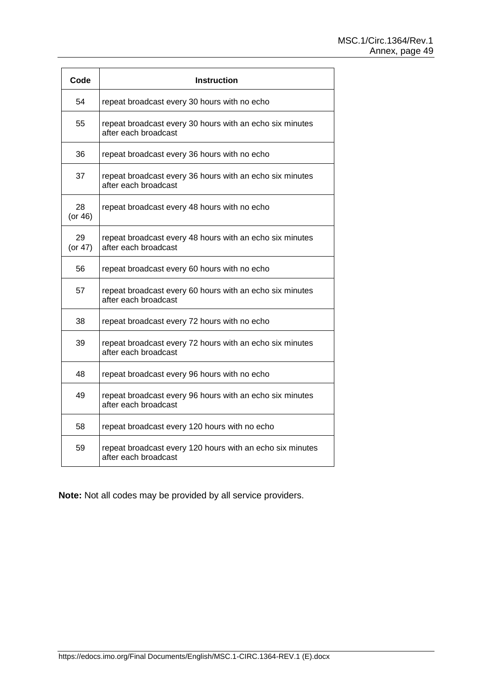| Code                | <b>Instruction</b>                                                                |  |  |
|---------------------|-----------------------------------------------------------------------------------|--|--|
| 54                  | repeat broadcast every 30 hours with no echo                                      |  |  |
| 55                  | repeat broadcast every 30 hours with an echo six minutes<br>after each broadcast  |  |  |
| 36                  | repeat broadcast every 36 hours with no echo                                      |  |  |
| 37                  | repeat broadcast every 36 hours with an echo six minutes<br>after each broadcast  |  |  |
| 28<br>$($ or 46 $)$ | repeat broadcast every 48 hours with no echo                                      |  |  |
| 29<br>(or $47$ )    | repeat broadcast every 48 hours with an echo six minutes<br>after each broadcast  |  |  |
| 56                  | repeat broadcast every 60 hours with no echo                                      |  |  |
| 57                  | repeat broadcast every 60 hours with an echo six minutes<br>after each broadcast  |  |  |
| 38                  | repeat broadcast every 72 hours with no echo                                      |  |  |
| 39                  | repeat broadcast every 72 hours with an echo six minutes<br>after each broadcast  |  |  |
| 48                  | repeat broadcast every 96 hours with no echo                                      |  |  |
| 49                  | repeat broadcast every 96 hours with an echo six minutes<br>after each broadcast  |  |  |
| 58                  | repeat broadcast every 120 hours with no echo                                     |  |  |
| 59                  | repeat broadcast every 120 hours with an echo six minutes<br>after each broadcast |  |  |

**Note:** Not all codes may be provided by all service providers.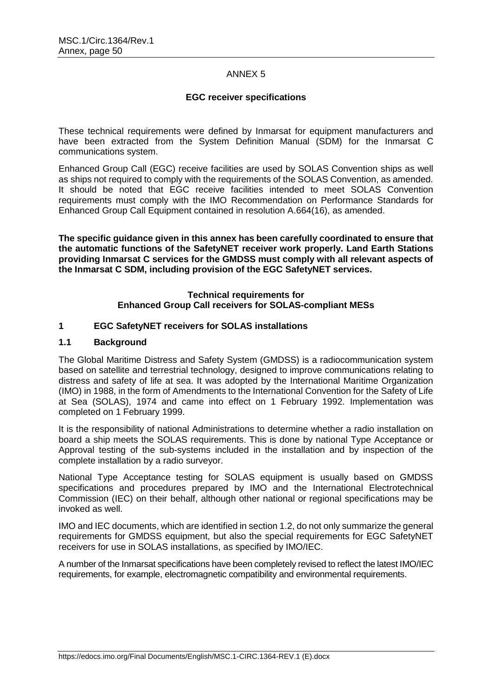# ANNEX 5

# **EGC receiver specifications**

These technical requirements were defined by Inmarsat for equipment manufacturers and have been extracted from the System Definition Manual (SDM) for the Inmarsat C communications system.

Enhanced Group Call (EGC) receive facilities are used by SOLAS Convention ships as well as ships not required to comply with the requirements of the SOLAS Convention, as amended. It should be noted that EGC receive facilities intended to meet SOLAS Convention requirements must comply with the IMO Recommendation on Performance Standards for Enhanced Group Call Equipment contained in resolution A.664(16), as amended.

**The specific guidance given in this annex has been carefully coordinated to ensure that the automatic functions of the SafetyNET receiver work properly. Land Earth Stations providing Inmarsat C services for the GMDSS must comply with all relevant aspects of the Inmarsat C SDM, including provision of the EGC SafetyNET services.**

# **Technical requirements for Enhanced Group Call receivers for SOLAS-compliant MESs**

# **1 EGC SafetyNET receivers for SOLAS installations**

#### **1.1 Background**

The Global Maritime Distress and Safety System (GMDSS) is a radiocommunication system based on satellite and terrestrial technology, designed to improve communications relating to distress and safety of life at sea. It was adopted by the International Maritime Organization (IMO) in 1988, in the form of Amendments to the International Convention for the Safety of Life at Sea (SOLAS), 1974 and came into effect on 1 February 1992. Implementation was completed on 1 February 1999.

It is the responsibility of national Administrations to determine whether a radio installation on board a ship meets the SOLAS requirements. This is done by national Type Acceptance or Approval testing of the sub-systems included in the installation and by inspection of the complete installation by a radio surveyor.

National Type Acceptance testing for SOLAS equipment is usually based on GMDSS specifications and procedures prepared by IMO and the International Electrotechnical Commission (IEC) on their behalf, although other national or regional specifications may be invoked as well.

IMO and IEC documents, which are identified in section 1.2, do not only summarize the general requirements for GMDSS equipment, but also the special requirements for EGC SafetyNET receivers for use in SOLAS installations, as specified by IMO/IEC.

A number of the Inmarsat specifications have been completely revised to reflect the latest IMO/IEC requirements, for example, electromagnetic compatibility and environmental requirements.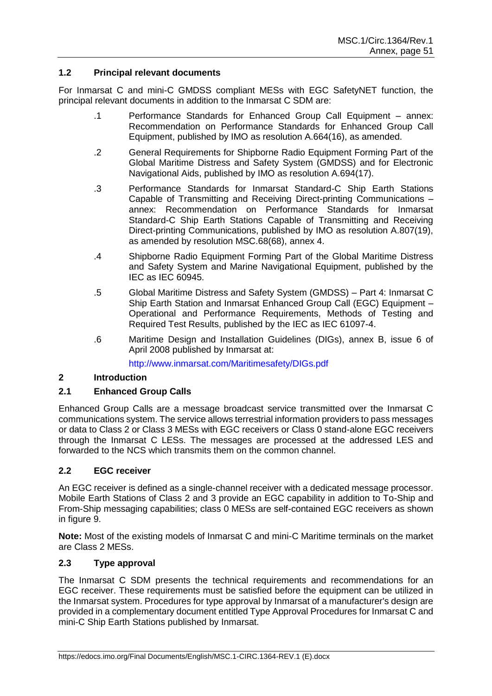#### **1.2 Principal relevant documents**

For Inmarsat C and mini-C GMDSS compliant MESs with EGC SafetyNET function, the principal relevant documents in addition to the Inmarsat C SDM are:

- .1 Performance Standards for Enhanced Group Call Equipment annex: Recommendation on Performance Standards for Enhanced Group Call Equipment, published by IMO as resolution A.664(16), as amended.
- .2 General Requirements for Shipborne Radio Equipment Forming Part of the Global Maritime Distress and Safety System (GMDSS) and for Electronic Navigational Aids, published by IMO as resolution A.694(17).
- .3 Performance Standards for Inmarsat Standard-C Ship Earth Stations Capable of Transmitting and Receiving Direct-printing Communications – annex: Recommendation on Performance Standards for Inmarsat Standard-C Ship Earth Stations Capable of Transmitting and Receiving Direct-printing Communications, published by IMO as resolution A.807(19), as amended by resolution MSC.68(68), annex 4.
- .4 Shipborne Radio Equipment Forming Part of the Global Maritime Distress and Safety System and Marine Navigational Equipment, published by the IEC as IEC 60945.
- .5 Global Maritime Distress and Safety System (GMDSS) Part 4: Inmarsat C Ship Earth Station and Inmarsat Enhanced Group Call (EGC) Equipment -Operational and Performance Requirements, Methods of Testing and Required Test Results, published by the IEC as IEC 61097-4.
- .6 Maritime Design and Installation Guidelines (DIGs), annex B, issue 6 of April 2008 published by Inmarsat at:

http://www.inmarsat.com/Maritimesafety/DIGs.pdf

# **2 Introduction**

# **2.1 Enhanced Group Calls**

Enhanced Group Calls are a message broadcast service transmitted over the Inmarsat C communications system. The service allows terrestrial information providers to pass messages or data to Class 2 or Class 3 MESs with EGC receivers or Class 0 stand-alone EGC receivers through the Inmarsat C LESs. The messages are processed at the addressed LES and forwarded to the NCS which transmits them on the common channel.

# **2.2 EGC receiver**

An EGC receiver is defined as a single-channel receiver with a dedicated message processor. Mobile Earth Stations of Class 2 and 3 provide an EGC capability in addition to To-Ship and From-Ship messaging capabilities; class 0 MESs are self-contained EGC receivers as shown in figure 9.

**Note:** Most of the existing models of Inmarsat C and mini-C Maritime terminals on the market are Class 2 MESs.

#### **2.3 Type approval**

The Inmarsat C SDM presents the technical requirements and recommendations for an EGC receiver. These requirements must be satisfied before the equipment can be utilized in the Inmarsat system. Procedures for type approval by Inmarsat of a manufacturer's design are provided in a complementary document entitled Type Approval Procedures for Inmarsat C and mini-C Ship Earth Stations published by Inmarsat.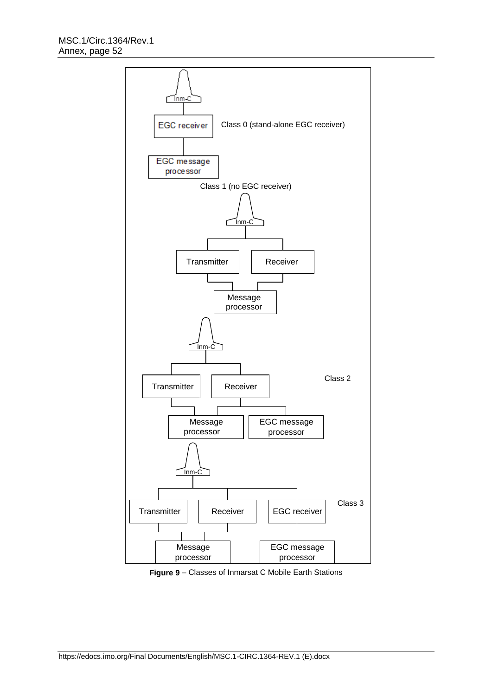

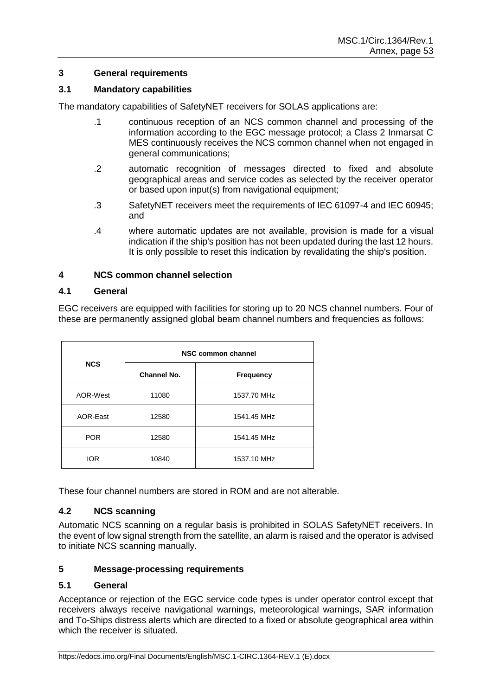# **3 General requirements**

# **3.1 Mandatory capabilities**

The mandatory capabilities of SafetyNET receivers for SOLAS applications are:

- .1 continuous reception of an NCS common channel and processing of the information according to the EGC message protocol; a Class 2 Inmarsat C MES continuously receives the NCS common channel when not engaged in general communications;
- .2 automatic recognition of messages directed to fixed and absolute geographical areas and service codes as selected by the receiver operator or based upon input(s) from navigational equipment;
- .3 SafetyNET receivers meet the requirements of IEC 61097-4 and IEC 60945; and
- .4 where automatic updates are not available, provision is made for a visual indication if the ship's position has not been updated during the last 12 hours. It is only possible to reset this indication by revalidating the ship's position.

# **4 NCS common channel selection**

#### **4.1 General**

EGC receivers are equipped with facilities for storing up to 20 NCS channel numbers. Four of these are permanently assigned global beam channel numbers and frequencies as follows:

|            | NSC common channel |                  |  |
|------------|--------------------|------------------|--|
| <b>NCS</b> | Channel No.        | <b>Frequency</b> |  |
| AOR-West   | 11080              | 1537.70 MHz      |  |
| AOR-East   | 12580              | 1541.45 MHz      |  |
| <b>POR</b> | 12580              | 1541.45 MHz      |  |
| IOR        | 10840              | 1537.10 MHz      |  |

These four channel numbers are stored in ROM and are not alterable.

# **4.2 NCS scanning**

Automatic NCS scanning on a regular basis is prohibited in SOLAS SafetyNET receivers. In the event of low signal strength from the satellite, an alarm is raised and the operator is advised to initiate NCS scanning manually.

# **5 Message-processing requirements**

# **5.1 General**

Acceptance or rejection of the EGC service code types is under operator control except that receivers always receive navigational warnings, meteorological warnings, SAR information and To-Ships distress alerts which are directed to a fixed or absolute geographical area within which the receiver is situated.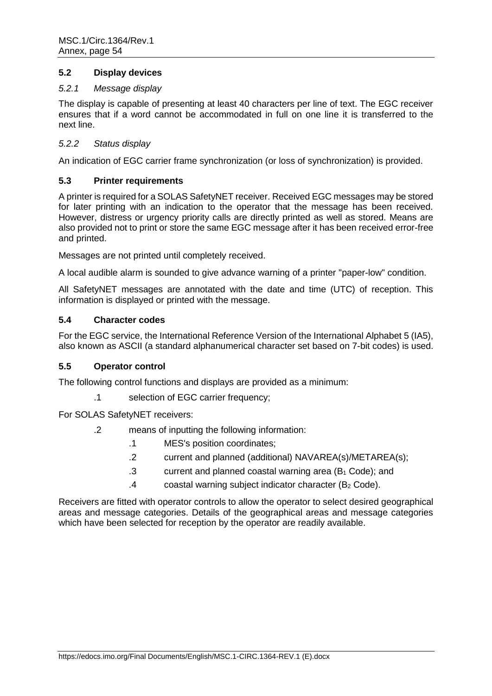# **5.2 Display devices**

#### *5.2.1 Message display*

The display is capable of presenting at least 40 characters per line of text. The EGC receiver ensures that if a word cannot be accommodated in full on one line it is transferred to the next line.

# *5.2.2 Status display*

An indication of EGC carrier frame synchronization (or loss of synchronization) is provided.

# **5.3 Printer requirements**

A printer is required for a SOLAS SafetyNET receiver. Received EGC messages may be stored for later printing with an indication to the operator that the message has been received. However, distress or urgency priority calls are directly printed as well as stored. Means are also provided not to print or store the same EGC message after it has been received error-free and printed.

Messages are not printed until completely received.

A local audible alarm is sounded to give advance warning of a printer "paper-low" condition.

All SafetyNET messages are annotated with the date and time (UTC) of reception. This information is displayed or printed with the message.

#### **5.4 Character codes**

For the EGC service, the International Reference Version of the International Alphabet 5 (IA5), also known as ASCII (a standard alphanumerical character set based on 7-bit codes) is used.

# **5.5 Operator control**

The following control functions and displays are provided as a minimum:

.1 selection of EGC carrier frequency;

For SOLAS SafetyNET receivers:

- .2 means of inputting the following information:
	- .1 MES's position coordinates;
	- .2 current and planned (additional) NAVAREA(s)/METAREA(s);
	- .3 current and planned coastal warning area (B<sup>1</sup> Code); and
	- .4 coastal warning subject indicator character (B<sup>2</sup> Code).

Receivers are fitted with operator controls to allow the operator to select desired geographical areas and message categories. Details of the geographical areas and message categories which have been selected for reception by the operator are readily available.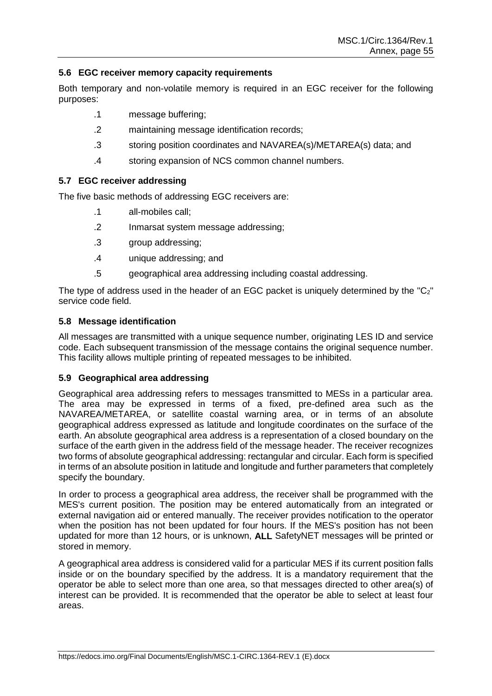# **5.6 EGC receiver memory capacity requirements**

Both temporary and non-volatile memory is required in an EGC receiver for the following purposes:

- .1 message buffering;
- .2 maintaining message identification records;
- .3 storing position coordinates and NAVAREA(s)/METAREA(s) data; and
- .4 storing expansion of NCS common channel numbers.

#### **5.7 EGC receiver addressing**

The five basic methods of addressing EGC receivers are:

- .1 all-mobiles call;
- .2 Inmarsat system message addressing;
- .3 group addressing;
- .4 unique addressing; and
- .5 geographical area addressing including coastal addressing.

The type of address used in the header of an EGC packet is uniquely determined by the " $C_2$ " service code field.

#### **5.8 Message identification**

All messages are transmitted with a unique sequence number, originating LES ID and service code. Each subsequent transmission of the message contains the original sequence number. This facility allows multiple printing of repeated messages to be inhibited.

# **5.9 Geographical area addressing**

Geographical area addressing refers to messages transmitted to MESs in a particular area. The area may be expressed in terms of a fixed, pre-defined area such as the NAVAREA/METAREA, or satellite coastal warning area, or in terms of an absolute geographical address expressed as latitude and longitude coordinates on the surface of the earth. An absolute geographical area address is a representation of a closed boundary on the surface of the earth given in the address field of the message header. The receiver recognizes two forms of absolute geographical addressing: rectangular and circular. Each form is specified in terms of an absolute position in latitude and longitude and further parameters that completely specify the boundary.

In order to process a geographical area address, the receiver shall be programmed with the MES's current position. The position may be entered automatically from an integrated or external navigation aid or entered manually. The receiver provides notification to the operator when the position has not been updated for four hours. If the MES's position has not been updated for more than 12 hours, or is unknown, **ALL** SafetyNET messages will be printed or stored in memory.

A geographical area address is considered valid for a particular MES if its current position falls inside or on the boundary specified by the address. It is a mandatory requirement that the operator be able to select more than one area, so that messages directed to other area(s) of interest can be provided. It is recommended that the operator be able to select at least four areas.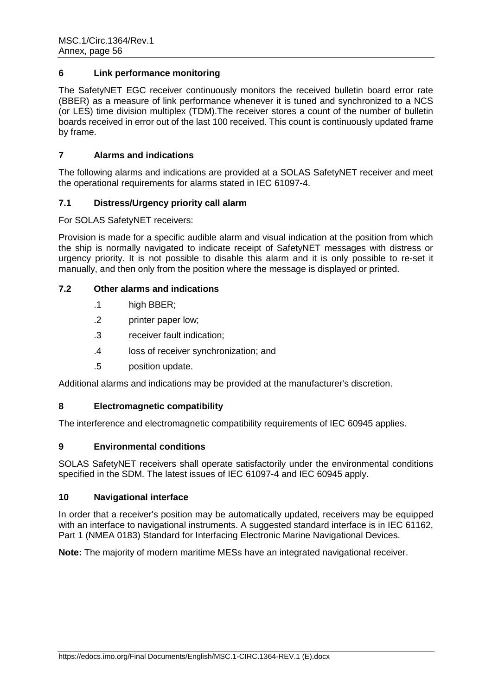# **6 Link performance monitoring**

The SafetyNET EGC receiver continuously monitors the received bulletin board error rate (BBER) as a measure of link performance whenever it is tuned and synchronized to a NCS (or LES) time division multiplex (TDM).The receiver stores a count of the number of bulletin boards received in error out of the last 100 received. This count is continuously updated frame by frame.

# **7 Alarms and indications**

The following alarms and indications are provided at a SOLAS SafetyNET receiver and meet the operational requirements for alarms stated in IEC 61097-4.

# **7.1 Distress/Urgency priority call alarm**

For SOLAS SafetyNET receivers:

Provision is made for a specific audible alarm and visual indication at the position from which the ship is normally navigated to indicate receipt of SafetyNET messages with distress or urgency priority. It is not possible to disable this alarm and it is only possible to re-set it manually, and then only from the position where the message is displayed or printed.

# **7.2 Other alarms and indications**

- .1 high BBER;
- .2 printer paper low;
- .3 receiver fault indication;
- .4 loss of receiver synchronization; and
- .5 position update.

Additional alarms and indications may be provided at the manufacturer's discretion.

# **8 Electromagnetic compatibility**

The interference and electromagnetic compatibility requirements of IEC 60945 applies.

# **9 Environmental conditions**

SOLAS SafetyNET receivers shall operate satisfactorily under the environmental conditions specified in the SDM. The latest issues of IEC 61097-4 and IEC 60945 apply.

# **10 Navigational interface**

In order that a receiver's position may be automatically updated, receivers may be equipped with an interface to navigational instruments. A suggested standard interface is in IEC 61162, Part 1 (NMEA 0183) Standard for Interfacing Electronic Marine Navigational Devices.

**Note:** The majority of modern maritime MESs have an integrated navigational receiver.